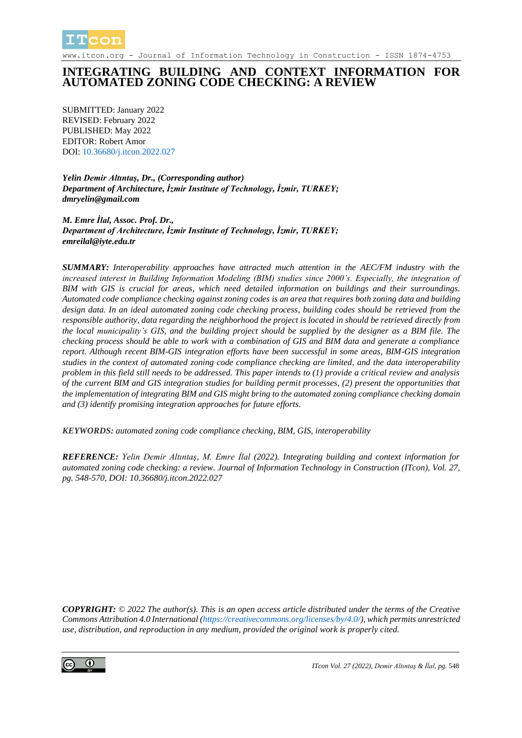

www.itcon.org - Journal of Information Technology in Construction - ISSN 1874-4753

## **INTEGRATING BUILDING AND CONTEXT INFORMATION FOR AUTOMATED ZONING CODE CHECKING: A REVIEW**

SUBMITTED: January 2022 REVISED: February 2022 PUBLISHED: May 2022 EDITOR: Robert Amor DOI: [10.36680/j.itcon.2022.027](https://dx.doi.org/10.36680/j.itcon.2022.027)

*Yelin Demir Altıntaş, Dr., (Corresponding author) Department of Architecture, İzmir Institute of Technology, İzmir, TURKEY; [dmryelin@gmail.com](mailto:tuyenl@clemson.edu)*

*M. Emre İlal, Assoc. Prof. Dr., Department of Architecture, İzmir Institute of Technology, İzmir, TURKEY; emreilal@iyte.edu.tr*

*SUMMARY: Interoperability approaches have attracted much attention in the AEC/FM industry with the increased interest in Building Information Modeling (BIM) studies since 2000's. Especially, the integration of BIM with GIS is crucial for areas, which need detailed information on buildings and their surroundings. Automated code compliance checking against zoning codes is an area that requires both zoning data and building design data. In an ideal automated zoning code checking process, building codes should be retrieved from the responsible authority, data regarding the neighborhood the project is located in should be retrieved directly from the local municipality's GIS, and the building project should be supplied by the designer as a BIM file. The checking process should be able to work with a combination of GIS and BIM data and generate a compliance report. Although recent BIM-GIS integration efforts have been successful in some areas, BIM-GIS integration studies in the context of automated zoning code compliance checking are limited, and the data interoperability problem in this field still needs to be addressed. This paper intends to (1) provide a critical review and analysis of the current BIM and GIS integration studies for building permit processes, (2) present the opportunities that the implementation of integrating BIM and GIS might bring to the automated zoning compliance checking domain and (3) identify promising integration approaches for future efforts.*

*KEYWORDS: automated zoning code compliance checking, BIM, GIS, interoperability*

*REFERENCE: Yelin Demir Altıntaş, M. Emre İlal (2022). Integrating building and context information for automated zoning code checking: a review. Journal of Information Technology in Construction (ITcon), Vol. 27, pg. 548-570, DOI: 10.36680/j.itcon.2022.027*

*COPYRIGHT: © 2022 The author(s). This is an open access article distributed under the terms of the Creative Commons Attribution 4.0 International [\(https://creativecommons.org/licenses/by/4.0/\)](https://creativecommons.org/licenses/by/4.0/), which permits unrestricted use, distribution, and reproduction in any medium, provided the original work is properly cited.*

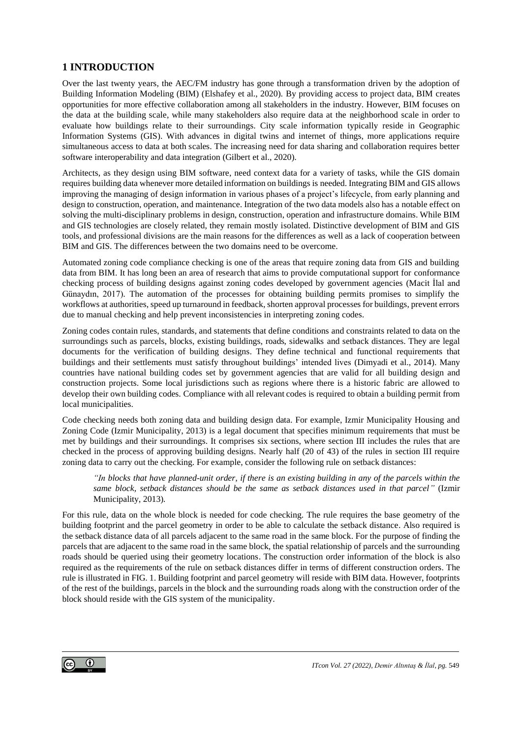### **1 INTRODUCTION**

Over the last twenty years, the AEC/FM industry has gone through a transformation driven by the adoption of Building Information Modeling (BIM) (Elshafey et al., 2020). By providing access to project data, BIM creates opportunities for more effective collaboration among all stakeholders in the industry. However, BIM focuses on the data at the building scale, while many stakeholders also require data at the neighborhood scale in order to evaluate how buildings relate to their surroundings. City scale information typically reside in Geographic Information Systems (GIS). With advances in digital twins and internet of things, more applications require simultaneous access to data at both scales. The increasing need for data sharing and collaboration requires better software interoperability and data integration (Gilbert et al., 2020).

Architects, as they design using BIM software, need context data for a variety of tasks, while the GIS domain requires building data whenever more detailed information on buildings is needed. Integrating BIM and GIS allows improving the managing of design information in various phases of a project's lifecycle, from early planning and design to construction, operation, and maintenance. Integration of the two data models also has a notable effect on solving the multi-disciplinary problems in design, construction, operation and infrastructure domains. While BIM and GIS technologies are closely related, they remain mostly isolated. Distinctive development of BIM and GIS tools, and professional divisions are the main reasons for the differences as well as a lack of cooperation between BIM and GIS. The differences between the two domains need to be overcome.

Automated zoning code compliance checking is one of the areas that require zoning data from GIS and building data from BIM. It has long been an area of research that aims to provide computational support for conformance checking process of building designs against zoning codes developed by government agencies (Macit İlal and Günaydın, 2017). The automation of the processes for obtaining building permits promises to simplify the workflows at authorities, speed up turnaround in feedback, shorten approval processes for buildings, prevent errors due to manual checking and help prevent inconsistencies in interpreting zoning codes.

Zoning codes contain rules, standards, and statements that define conditions and constraints related to data on the surroundings such as parcels, blocks, existing buildings, roads, sidewalks and setback distances. They are legal documents for the verification of building designs. They define technical and functional requirements that buildings and their settlements must satisfy throughout buildings' intended lives (Dimyadi et al., 2014). Many countries have national building codes set by government agencies that are valid for all building design and construction projects. Some local jurisdictions such as regions where there is a historic fabric are allowed to develop their own building codes. Compliance with all relevant codes is required to obtain a building permit from local municipalities.

Code checking needs both zoning data and building design data. For example, Izmir Municipality Housing and Zoning Code (Izmir Municipality, 2013) is a legal document that specifies minimum requirements that must be met by buildings and their surroundings. It comprises six sections, where section III includes the rules that are checked in the process of approving building designs. Nearly half (20 of 43) of the rules in section III require zoning data to carry out the checking. For example, consider the following rule on setback distances:

*"In blocks that have planned-unit order, if there is an existing building in any of the parcels within the same block, setback distances should be the same as setback distances used in that parcel"* (Izmir Municipality, 2013)*.*

For this rule, data on the whole block is needed for code checking. The rule requires the base geometry of the building footprint and the parcel geometry in order to be able to calculate the setback distance. Also required is the setback distance data of all parcels adjacent to the same road in the same block. For the purpose of finding the parcels that are adjacent to the same road in the same block, the spatial relationship of parcels and the surrounding roads should be queried using their geometry locations. The construction order information of the block is also required as the requirements of the rule on setback distances differ in terms of different construction orders. The rule is illustrated i[n FIG.](#page-2-0) 1. Building footprint and parcel geometry will reside with BIM data. However, footprints of the rest of the buildings, parcels in the block and the surrounding roads along with the construction order of the block should reside with the GIS system of the municipality.

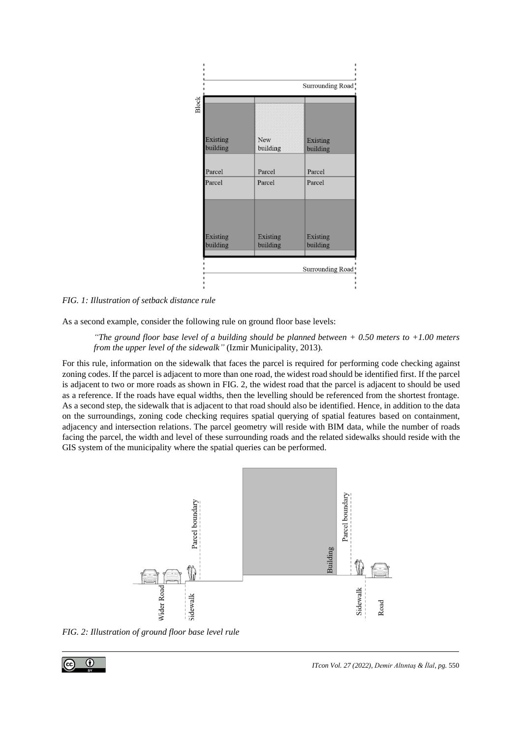

<span id="page-2-0"></span>*FIG. 1: Illustration of setback distance rule*

As a second example, consider the following rule on ground floor base levels:

*"The ground floor base level of a building should be planned between + 0.50 meters to +1.00 meters from the upper level of the sidewalk"* (Izmir Municipality, 2013)*.*

For this rule, information on the sidewalk that faces the parcel is required for performing code checking against zoning codes. If the parcel is adjacent to more than one road, the widest road should be identified first. If the parcel is adjacent to two or more roads as shown in [FIG.](#page-2-1) 2, the widest road that the parcel is adjacent to should be used as a reference. If the roads have equal widths, then the levelling should be referenced from the shortest frontage. As a second step, the sidewalk that is adjacent to that road should also be identified. Hence, in addition to the data on the surroundings, zoning code checking requires spatial querying of spatial features based on containment, adjacency and intersection relations. The parcel geometry will reside with BIM data, while the number of roads facing the parcel, the width and level of these surrounding roads and the related sidewalks should reside with the GIS system of the municipality where the spatial queries can be performed.



<span id="page-2-1"></span>*FIG. 2: Illustration of ground floor base level rule*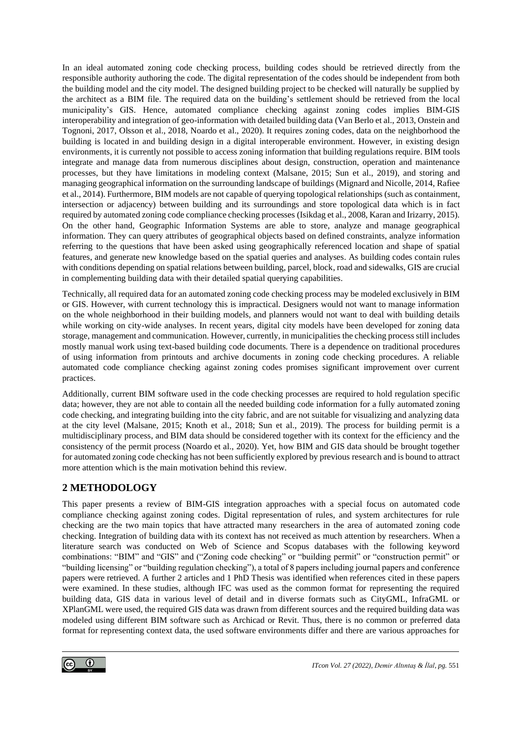In an ideal automated zoning code checking process, building codes should be retrieved directly from the responsible authority authoring the code. The digital representation of the codes should be independent from both the building model and the city model. The designed building project to be checked will naturally be supplied by the architect as a BIM file. The required data on the building's settlement should be retrieved from the local municipality's GIS. Hence, automated compliance checking against zoning codes implies BIM-GIS interoperability and integration of geo-information with detailed building data (Van Berlo et al., 2013, Onstein and Tognoni, 2017, Olsson et al., 2018, Noardo et al., 2020). It requires zoning codes, data on the neighborhood the building is located in and building design in a digital interoperable environment. However, in existing design environments, it is currently not possible to access zoning information that building regulations require. BIM tools integrate and manage data from numerous disciplines about design, construction, operation and maintenance processes, but they have limitations in modeling context (Malsane, 2015; Sun et al., 2019), and storing and managing geographical information on the surrounding landscape of buildings (Mignard and Nicolle, 2014, Rafiee et al., 2014). Furthermore, BIM models are not capable of querying topological relationships (such as containment, intersection or adjacency) between building and its surroundings and store topological data which is in fact required by automated zoning code compliance checking processes (Isikdag et al., 2008, Karan and Irizarry, 2015). On the other hand, Geographic Information Systems are able to store, analyze and manage geographical information. They can query attributes of geographical objects based on defined constraints, analyze information referring to the questions that have been asked using geographically referenced location and shape of spatial features, and generate new knowledge based on the spatial queries and analyses. As building codes contain rules with conditions depending on spatial relations between building, parcel, block, road and sidewalks, GIS are crucial in complementing building data with their detailed spatial querying capabilities.

Technically, all required data for an automated zoning code checking process may be modeled exclusively in BIM or GIS. However, with current technology this is impractical. Designers would not want to manage information on the whole neighborhood in their building models, and planners would not want to deal with building details while working on city-wide analyses. In recent years, digital city models have been developed for zoning data storage, management and communication. However, currently, in municipalities the checking process still includes mostly manual work using text-based building code documents. There is a dependence on traditional procedures of using information from printouts and archive documents in zoning code checking procedures. A reliable automated code compliance checking against zoning codes promises significant improvement over current practices.

Additionally, current BIM software used in the code checking processes are required to hold regulation specific data; however, they are not able to contain all the needed building code information for a fully automated zoning code checking, and integrating building into the city fabric, and are not suitable for visualizing and analyzing data at the city level (Malsane, 2015; Knoth et al., 2018; Sun et al., 2019). The process for building permit is a multidisciplinary process, and BIM data should be considered together with its context for the efficiency and the consistency of the permit process (Noardo et al., 2020). Yet, how BIM and GIS data should be brought together for automated zoning code checking has not been sufficiently explored by previous research and is bound to attract more attention which is the main motivation behind this review.

## **2 METHODOLOGY**

This paper presents a review of BIM-GIS integration approaches with a special focus on automated code compliance checking against zoning codes. Digital representation of rules, and system architectures for rule checking are the two main topics that have attracted many researchers in the area of automated zoning code checking. Integration of building data with its context has not received as much attention by researchers. When a literature search was conducted on Web of Science and Scopus databases with the following keyword combinations: "BIM" and "GIS" and ("Zoning code checking" or "building permit" or "construction permit" or "building licensing" or "building regulation checking"), a total of 8 papers including journal papers and conference papers were retrieved. A further 2 articles and 1 PhD Thesis was identified when references cited in these papers were examined. In these studies, although IFC was used as the common format for representing the required building data, GIS data in various level of detail and in diverse formats such as CityGML, InfraGML or XPlanGML were used, the required GIS data was drawn from different sources and the required building data was modeled using different BIM software such as Archicad or Revit. Thus, there is no common or preferred data format for representing context data, the used software environments differ and there are various approaches for

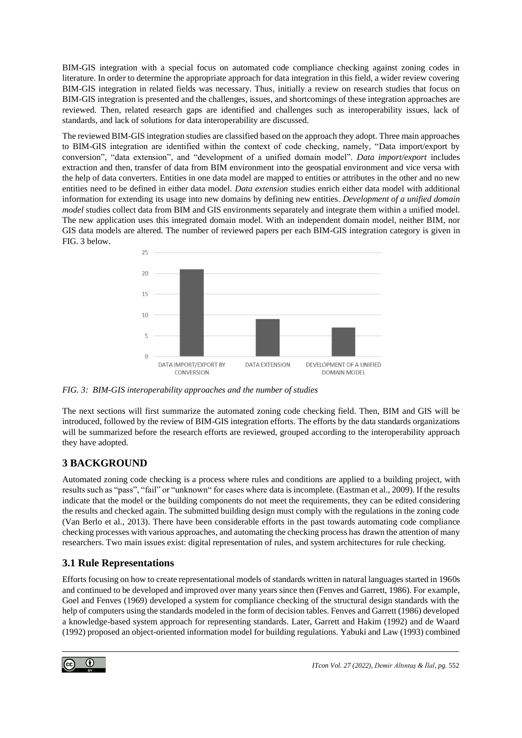BIM-GIS integration with a special focus on automated code compliance checking against zoning codes in literature. In order to determine the appropriate approach for data integration in this field, a wider review covering BIM-GIS integration in related fields was necessary. Thus, initially a review on research studies that focus on BIM-GIS integration is presented and the challenges, issues, and shortcomings of these integration approaches are reviewed. Then, related research gaps are identified and challenges such as interoperability issues, lack of standards, and lack of solutions for data interoperability are discussed.

The reviewed BIM-GIS integration studies are classified based on the approach they adopt. Three main approaches to BIM-GIS integration are identified within the context of code checking, namely, "Data import/export by conversion", "data extension", and "development of a unified domain model". *Data import/export* includes extraction and then, transfer of data from BIM environment into the geospatial environment and vice versa with the help of data converters. Entities in one data model are mapped to entities or attributes in the other and no new entities need to be defined in either data model. *Data extension* studies enrich either data model with additional information for extending its usage into new domains by defining new entities. *Development of a unified domain model* studies collect data from BIM and GIS environments separately and integrate them within a unified model. The new application uses this integrated domain model. With an independent domain model, neither BIM, nor GIS data models are altered. The number of reviewed papers per each BIM-GIS integration category is given in FIG. 3 below.



*FIG. 3: BIM-GIS interoperability approaches and the number of studies*

The next sections will first summarize the automated zoning code checking field. Then, BIM and GIS will be introduced, followed by the review of BIM-GIS integration efforts. The efforts by the data standards organizations will be summarized before the research efforts are reviewed, grouped according to the interoperability approach they have adopted.

# **3 BACKGROUND**

Automated zoning code checking is a process where rules and conditions are applied to a building project, with results such as "pass", "fail" or "unknown" for cases where data is incomplete. (Eastman et al., 2009). If the results indicate that the model or the building components do not meet the requirements, they can be edited considering the results and checked again. The submitted building design must comply with the regulations in the zoning code (Van Berlo et al., 2013). There have been considerable efforts in the past towards automating code compliance checking processes with various approaches, and automating the checking process has drawn the attention of many researchers. Two main issues exist: digital representation of rules, and system architectures for rule checking.

## **3.1 Rule Representations**

Efforts focusing on how to create representational models of standards written in natural languages started in 1960s and continued to be developed and improved over many years since then (Fenves and Garrett, 1986). For example, Goel and Fenves (1969) developed a system for compliance checking of the structural design standards with the help of computers using the standards modeled in the form of decision tables. Fenves and Garrett (1986) developed a knowledge-based system approach for representing standards. Later, Garrett and Hakim (1992) and de Waard (1992) proposed an object-oriented information model for building regulations. Yabuki and Law (1993) combined

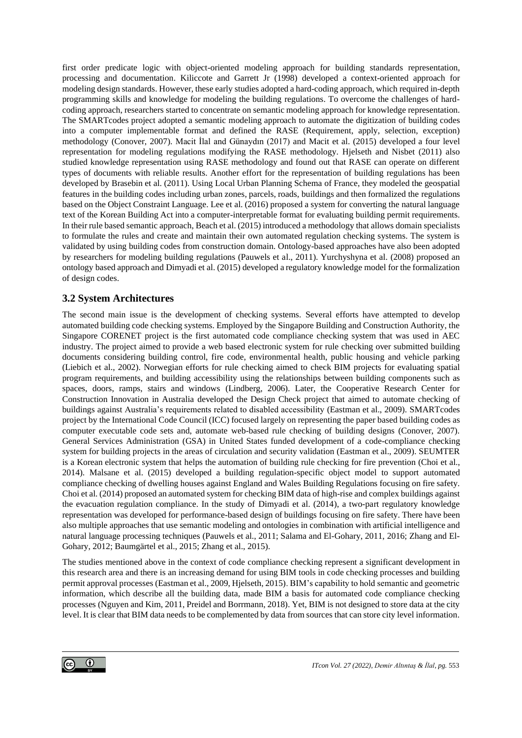first order predicate logic with object-oriented modeling approach for building standards representation, processing and documentation. Kiliccote and Garrett Jr (1998) developed a context-oriented approach for modeling design standards. However, these early studies adopted a hard-coding approach, which required in-depth programming skills and knowledge for modeling the building regulations. To overcome the challenges of hardcoding approach, researchers started to concentrate on semantic modeling approach for knowledge representation. The SMARTcodes project adopted a semantic modeling approach to automate the digitization of building codes into a computer implementable format and defined the RASE (Requirement, apply, selection, exception) methodology (Conover, 2007). Macit İlal and Günaydın (2017) and Macit et al. (2015) developed a four level representation for modeling regulations modifying the RASE methodology. Hjelseth and Nisbet (2011) also studied knowledge representation using RASE methodology and found out that RASE can operate on different types of documents with reliable results. Another effort for the representation of building regulations has been developed by Brasebin et al. (2011). Using Local Urban Planning Schema of France, they modeled the geospatial features in the building codes including urban zones, parcels, roads, buildings and then formalized the regulations based on the Object Constraint Language. Lee et al. (2016) proposed a system for converting the natural language text of the Korean Building Act into a computer-interpretable format for evaluating building permit requirements. In their rule based semantic approach, Beach et al. (2015) introduced a methodology that allows domain specialists to formulate the rules and create and maintain their own automated regulation checking systems. The system is validated by using building codes from construction domain. Ontology-based approaches have also been adopted by researchers for modeling building regulations (Pauwels et al., 2011). Yurchyshyna et al. (2008) proposed an ontology based approach and Dimyadi et al. (2015) developed a regulatory knowledge model for the formalization of design codes.

### **3.2 System Architectures**

The second main issue is the development of checking systems. Several efforts have attempted to develop automated building code checking systems. Employed by the Singapore Building and Construction Authority, the Singapore CORENET project is the first automated code compliance checking system that was used in AEC industry. The project aimed to provide a web based electronic system for rule checking over submitted building documents considering building control, fire code, environmental health, public housing and vehicle parking (Liebich et al., 2002). Norwegian efforts for rule checking aimed to check BIM projects for evaluating spatial program requirements, and building accessibility using the relationships between building components such as spaces, doors, ramps, stairs and windows (Lindberg, 2006). Later, the Cooperative Research Center for Construction Innovation in Australia developed the Design Check project that aimed to automate checking of buildings against Australia's requirements related to disabled accessibility (Eastman et al., 2009). SMARTcodes project by the International Code Council (ICC) focused largely on representing the paper based building codes as computer executable code sets and, automate web-based rule checking of building designs (Conover, 2007). General Services Administration (GSA) in United States funded development of a code-compliance checking system for building projects in the areas of circulation and security validation (Eastman et al., 2009). SEUMTER is a Korean electronic system that helps the automation of building rule checking for fire prevention (Choi et al., 2014). Malsane et al. (2015) developed a building regulation-specific object model to support automated compliance checking of dwelling houses against England and Wales Building Regulations focusing on fire safety. Choi et al. (2014) proposed an automated system for checking BIM data of high-rise and complex buildings against the evacuation regulation compliance. In the study of Dimyadi et al. (2014), a two-part regulatory knowledge representation was developed for performance-based design of buildings focusing on fire safety. There have been also multiple approaches that use semantic modeling and ontologies in combination with artificial intelligence and natural language processing techniques (Pauwels et al., 2011; Salama and El-Gohary, 2011, 2016; Zhang and El-Gohary, 2012; Baumgärtel et al., 2015; Zhang et al., 2015).

The studies mentioned above in the context of code compliance checking represent a significant development in this research area and there is an increasing demand for using BIM tools in code checking processes and building permit approval processes (Eastman et al., 2009, Hjelseth, 2015). BIM's capability to hold semantic and geometric information, which describe all the building data, made BIM a basis for automated code compliance checking processes (Nguyen and Kim, 2011, Preidel and Borrmann, 2018). Yet, BIM is not designed to store data at the city level. It is clear that BIM data needs to be complemented by data from sources that can store city level information.

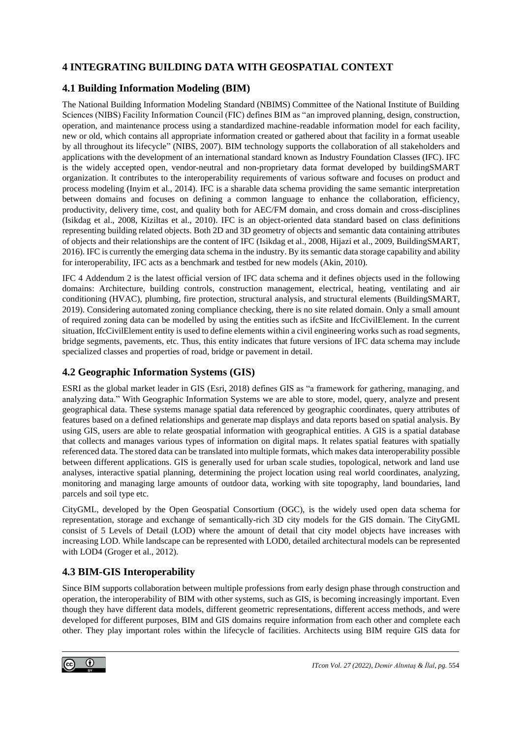## **4 INTEGRATING BUILDING DATA WITH GEOSPATIAL CONTEXT**

## **4.1 Building Information Modeling (BIM)**

The National Building Information Modeling Standard (NBIMS) Committee of the National Institute of Building Sciences (NIBS) Facility Information Council (FIC) defines BIM as "an improved planning, design, construction, operation, and maintenance process using a standardized machine-readable information model for each facility, new or old, which contains all appropriate information created or gathered about that facility in a format useable by all throughout its lifecycle" (NIBS, 2007). BIM technology supports the collaboration of all stakeholders and applications with the development of an international standard known as Industry Foundation Classes (IFC). IFC is the widely accepted open, vendor-neutral and non-proprietary data format developed by buildingSMART organization. It contributes to the interoperability requirements of various software and focuses on product and process modeling (Inyim et al., 2014). IFC is a sharable data schema providing the same semantic interpretation between domains and focuses on defining a common language to enhance the collaboration, efficiency, productivity, delivery time, cost, and quality both for AEC/FM domain, and cross domain and cross-disciplines (Isikdag et al., 2008, Kiziltas et al., 2010). IFC is an object-oriented data standard based on class definitions representing building related objects. Both 2D and 3D geometry of objects and semantic data containing attributes of objects and their relationships are the content of IFC (Isikdag et al., 2008, Hijazi et al., 2009, BuildingSMART, 2016). IFC is currently the emerging data schema in the industry. By its semantic data storage capability and ability for interoperability, IFC acts as a benchmark and testbed for new models (Akin, 2010).

IFC 4 Addendum 2 is the latest official version of IFC data schema and it defines objects used in the following domains: Architecture, building controls, construction management, electrical, heating, ventilating and air conditioning (HVAC), plumbing, fire protection, structural analysis, and structural elements (BuildingSMART, 2019). Considering automated zoning compliance checking, there is no site related domain. Only a small amount of required zoning data can be modelled by using the entities such as ifcSite and IfcCivilElement. In the current situation, IfcCivilElement entity is used to define elements within a civil engineering works such as road segments, bridge segments, pavements, etc. Thus, this entity indicates that future versions of IFC data schema may include specialized classes and properties of road, bridge or pavement in detail.

## **4.2 Geographic Information Systems (GIS)**

ESRI as the global market leader in GIS (Esri, 2018) defines GIS as "a framework for gathering, managing, and analyzing data." With Geographic Information Systems we are able to store, model, query, analyze and present geographical data. These systems manage spatial data referenced by geographic coordinates, query attributes of features based on a defined relationships and generate map displays and data reports based on spatial analysis. By using GIS, users are able to relate geospatial information with geographical entities. A GIS is a spatial database that collects and manages various types of information on digital maps. It relates spatial features with spatially referenced data. The stored data can be translated into multiple formats, which makes data interoperability possible between different applications. GIS is generally used for urban scale studies, topological, network and land use analyses, interactive spatial planning, determining the project location using real world coordinates, analyzing, monitoring and managing large amounts of outdoor data, working with site topography, land boundaries, land parcels and soil type etc.

CityGML, developed by the Open Geospatial Consortium (OGC), is the widely used open data schema for representation, storage and exchange of semantically-rich 3D city models for the GIS domain. The CityGML consist of 5 Levels of Detail (LOD) where the amount of detail that city model objects have increases with increasing LOD. While landscape can be represented with LOD0, detailed architectural models can be represented with LOD4 (Groger et al., 2012).

# **4.3 BIM-GIS Interoperability**

Since BIM supports collaboration between multiple professions from early design phase through construction and operation, the interoperability of BIM with other systems, such as GIS, is becoming increasingly important. Even though they have different data models, different geometric representations, different access methods, and were developed for different purposes, BIM and GIS domains require information from each other and complete each other. They play important roles within the lifecycle of facilities. Architects using BIM require GIS data for

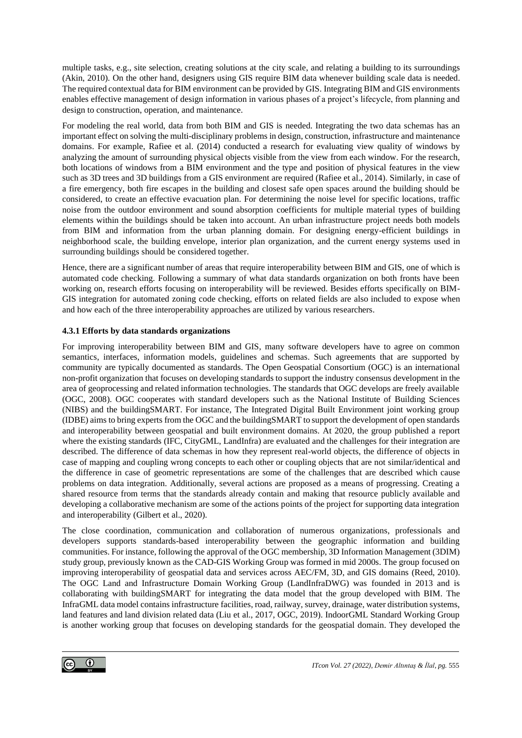multiple tasks, e.g., site selection, creating solutions at the city scale, and relating a building to its surroundings (Akin, 2010). On the other hand, designers using GIS require BIM data whenever building scale data is needed. The required contextual data for BIM environment can be provided by GIS. Integrating BIM and GIS environments enables effective management of design information in various phases of a project's lifecycle, from planning and design to construction, operation, and maintenance.

For modeling the real world, data from both BIM and GIS is needed. Integrating the two data schemas has an important effect on solving the multi-disciplinary problems in design, construction,infrastructure and maintenance domains. For example, Rafiee et al. (2014) conducted a research for evaluating view quality of windows by analyzing the amount of surrounding physical objects visible from the view from each window. For the research, both locations of windows from a BIM environment and the type and position of physical features in the view such as 3D trees and 3D buildings from a GIS environment are required (Rafiee et al., 2014). Similarly, in case of a fire emergency, both fire escapes in the building and closest safe open spaces around the building should be considered, to create an effective evacuation plan. For determining the noise level for specific locations, traffic noise from the outdoor environment and sound absorption coefficients for multiple material types of building elements within the buildings should be taken into account. An urban infrastructure project needs both models from BIM and information from the urban planning domain. For designing energy-efficient buildings in neighborhood scale, the building envelope, interior plan organization, and the current energy systems used in surrounding buildings should be considered together.

Hence, there are a significant number of areas that require interoperability between BIM and GIS, one of which is automated code checking. Following a summary of what data standards organization on both fronts have been working on, research efforts focusing on interoperability will be reviewed. Besides efforts specifically on BIM-GIS integration for automated zoning code checking, efforts on related fields are also included to expose when and how each of the three interoperability approaches are utilized by various researchers.

### **4.3.1 Efforts by data standards organizations**

For improving interoperability between BIM and GIS, many software developers have to agree on common semantics, interfaces, information models, guidelines and schemas. Such agreements that are supported by community are typically documented as standards. The Open Geospatial Consortium (OGC) is an international non-profit organization that focuses on developing standards to support the industry consensus development in the area of geoprocessing and related information technologies. The standards that OGC develops are freely available (OGC, 2008). OGC cooperates with standard developers such as the National Institute of Building Sciences (NIBS) and the buildingSMART. For instance, The Integrated Digital Built Environment joint working group (IDBE) aims to bring experts from the OGC and the buildingSMART to support the development of open standards and interoperability between geospatial and built environment domains. At 2020, the group published a report where the existing standards (IFC, CityGML, LandInfra) are evaluated and the challenges for their integration are described. The difference of data schemas in how they represent real-world objects, the difference of objects in case of mapping and coupling wrong concepts to each other or coupling objects that are not similar/identical and the difference in case of geometric representations are some of the challenges that are described which cause problems on data integration. Additionally, several actions are proposed as a means of progressing. Creating a shared resource from terms that the standards already contain and making that resource publicly available and developing a collaborative mechanism are some of the actions points of the project for supporting data integration and interoperability (Gilbert et al., 2020).

The close coordination, communication and collaboration of numerous organizations, professionals and developers supports standards-based interoperability between the geographic information and building communities. For instance, following the approval of the OGC membership, 3D Information Management (3DIM) study group, previously known as the CAD-GIS Working Group was formed in mid 2000s. The group focused on improving interoperability of geospatial data and services across AEC/FM, 3D, and GIS domains (Reed, 2010). The OGC Land and Infrastructure Domain Working Group (LandInfraDWG) was founded in 2013 and is collaborating with buildingSMART for integrating the data model that the group developed with BIM. The InfraGML data model contains infrastructure facilities, road, railway, survey, drainage, water distribution systems, land features and land division related data (Liu et al., 2017, OGC, 2019). IndoorGML Standard Working Group is another working group that focuses on developing standards for the geospatial domain. They developed the

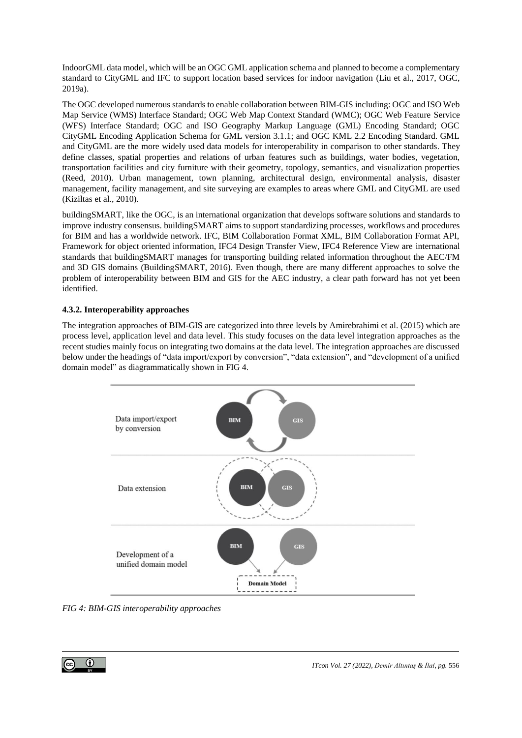IndoorGML data model, which will be an OGC GML application schema and planned to become a complementary standard to CityGML and IFC to support location based services for indoor navigation (Liu et al., 2017, OGC, 2019a).

The OGC developed numerous standards to enable collaboration between BIM-GIS including: OGC and ISO Web Map Service (WMS) Interface Standard; OGC Web Map Context Standard (WMC); OGC Web Feature Service (WFS) Interface Standard; OGC and ISO Geography Markup Language (GML) Encoding Standard; OGC CityGML Encoding Application Schema for GML version 3.1.1; and OGC KML 2.2 Encoding Standard. GML and CityGML are the more widely used data models for interoperability in comparison to other standards. They define classes, spatial properties and relations of urban features such as buildings, water bodies, vegetation, transportation facilities and city furniture with their geometry, topology, semantics, and visualization properties (Reed, 2010). Urban management, town planning, architectural design, environmental analysis, disaster management, facility management, and site surveying are examples to areas where GML and CityGML are used (Kiziltas et al., 2010).

buildingSMART, like the OGC, is an international organization that develops software solutions and standards to improve industry consensus. buildingSMART aims to support standardizing processes, workflows and procedures for BIM and has a worldwide network. IFC, BIM Collaboration Format XML, BIM Collaboration Format API, Framework for object oriented information, IFC4 Design Transfer View, IFC4 Reference View are international standards that buildingSMART manages for transporting building related information throughout the AEC/FM and 3D GIS domains (BuildingSMART, 2016). Even though, there are many different approaches to solve the problem of interoperability between BIM and GIS for the AEC industry, a clear path forward has not yet been identified.

### **4.3.2. Interoperability approaches**

The integration approaches of BIM-GIS are categorized into three levels by Amirebrahimi et al. (2015) which are process level, application level and data level. This study focuses on the data level integration approaches as the recent studies mainly focus on integrating two domains at the data level. The integration approaches are discussed below under the headings of "data import/export by conversion", "data extension", and "development of a unified domain model" as diagrammatically shown i[n FIG 4.](#page-8-0)



<span id="page-8-0"></span>*FIG 4: BIM-GIS interoperability approaches*

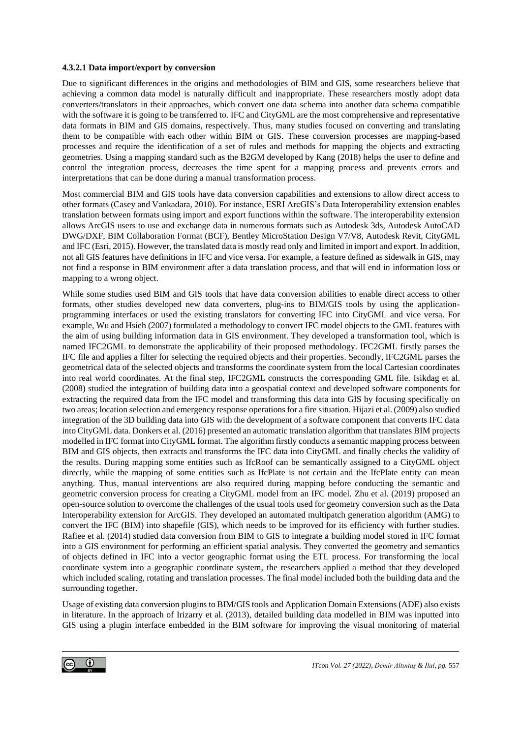#### **4.3.2.1 Data import/export by conversion**

Due to significant differences in the origins and methodologies of BIM and GIS, some researchers believe that achieving a common data model is naturally difficult and inappropriate. These researchers mostly adopt data converters/translators in their approaches, which convert one data schema into another data schema compatible with the software it is going to be transferred to. IFC and CityGML are the most comprehensive and representative data formats in BIM and GIS domains, respectively. Thus, many studies focused on converting and translating them to be compatible with each other within BIM or GIS. These conversion processes are mapping-based processes and require the identification of a set of rules and methods for mapping the objects and extracting geometries. Using a mapping standard such as the B2GM developed by Kang (2018) helps the user to define and control the integration process, decreases the time spent for a mapping process and prevents errors and interpretations that can be done during a manual transformation process.

Most commercial BIM and GIS tools have data conversion capabilities and extensions to allow direct access to other formats (Casey and Vankadara, 2010). For instance, ESRI ArcGIS's Data Interoperability extension enables translation between formats using import and export functions within the software. The interoperability extension allows ArcGIS users to use and exchange data in numerous formats such as Autodesk 3ds, Autodesk AutoCAD DWG/DXF, BIM Collaboration Format (BCF), Bentley MicroStation Design V7/V8, Autodesk Revit, CityGML and IFC (Esri, 2015). However, the translated data is mostly read only and limited in import and export. In addition, not all GIS features have definitions in IFC and vice versa. For example, a feature defined as sidewalk in GIS, may not find a response in BIM environment after a data translation process, and that will end in information loss or mapping to a wrong object.

While some studies used BIM and GIS tools that have data conversion abilities to enable direct access to other formats, other studies developed new data converters, plug-ins to BIM/GIS tools by using the applicationprogramming interfaces or used the existing translators for converting IFC into CityGML and vice versa. For example, Wu and Hsieh (2007) formulated a methodology to convert IFC model objects to the GML features with the aim of using building information data in GIS environment. They developed a transformation tool, which is named IFC2GML to demonstrate the applicability of their proposed methodology. IFC2GML firstly parses the IFC file and applies a filter for selecting the required objects and their properties. Secondly, IFC2GML parses the geometrical data of the selected objects and transforms the coordinate system from the local Cartesian coordinates into real world coordinates. At the final step, IFC2GML constructs the corresponding GML file. Isikdag et al. (2008) studied the integration of building data into a geospatial context and developed software components for extracting the required data from the IFC model and transforming this data into GIS by focusing specifically on two areas; location selection and emergency response operations for a fire situation. Hijazi et al. (2009) also studied integration of the 3D building data into GIS with the development of a software component that converts IFC data into CityGML data. Donkers et al. (2016) presented an automatic translation algorithm that translates BIM projects modelled in IFC format into CityGML format. The algorithm firstly conducts a semantic mapping process between BIM and GIS objects, then extracts and transforms the IFC data into CityGML and finally checks the validity of the results. During mapping some entities such as IfcRoof can be semantically assigned to a CityGML object directly, while the mapping of some entities such as IfcPlate is not certain and the IfcPlate entity can mean anything. Thus, manual interventions are also required during mapping before conducting the semantic and geometric conversion process for creating a CityGML model from an IFC model. Zhu et al. (2019) proposed an open-source solution to overcome the challenges of the usual tools used for geometry conversion such as the Data Interoperability extension for ArcGIS. They developed an automated multipatch generation algorithm (AMG) to convert the IFC (BIM) into shapefile (GIS), which needs to be improved for its efficiency with further studies. Rafiee et al. (2014) studied data conversion from BIM to GIS to integrate a building model stored in IFC format into a GIS environment for performing an efficient spatial analysis. They converted the geometry and semantics of objects defined in IFC into a vector geographic format using the ETL process. For transforming the local coordinate system into a geographic coordinate system, the researchers applied a method that they developed which included scaling, rotating and translation processes. The final model included both the building data and the surrounding together.

Usage of existing data conversion plugins to BIM/GIS tools and Application Domain Extensions (ADE) also exists in literature. In the approach of Irizarry et al. (2013), detailed building data modelled in BIM was inputted into GIS using a plugin interface embedded in the BIM software for improving the visual monitoring of material

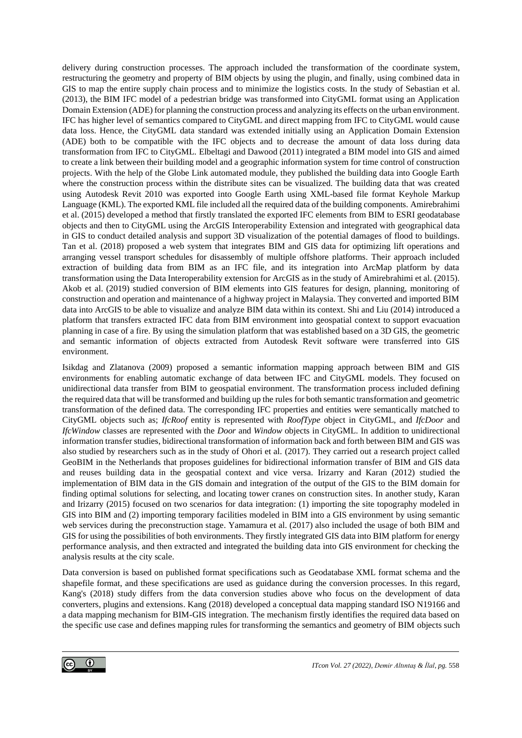delivery during construction processes. The approach included the transformation of the coordinate system, restructuring the geometry and property of BIM objects by using the plugin, and finally, using combined data in GIS to map the entire supply chain process and to minimize the logistics costs. In the study of Sebastian et al. (2013), the BIM IFC model of a pedestrian bridge was transformed into CityGML format using an Application Domain Extension (ADE) for planning the construction process and analyzing its effects on the urban environment. IFC has higher level of semantics compared to CityGML and direct mapping from IFC to CityGML would cause data loss. Hence, the CityGML data standard was extended initially using an Application Domain Extension (ADE) both to be compatible with the IFC objects and to decrease the amount of data loss during data transformation from IFC to CityGML. Elbeltagi and Dawood (2011) integrated a BIM model into GIS and aimed to create a link between their building model and a geographic information system for time control of construction projects. With the help of the Globe Link automated module, they published the building data into Google Earth where the construction process within the distribute sites can be visualized. The building data that was created using Autodesk Revit 2010 was exported into Google Earth using XML-based file format Keyhole Markup Language (KML). The exported KML file included all the required data of the building components. Amirebrahimi et al. (2015) developed a method that firstly translated the exported IFC elements from BIM to ESRI geodatabase objects and then to CityGML using the ArcGIS Interoperability Extension and integrated with geographical data in GIS to conduct detailed analysis and support 3D visualization of the potential damages of flood to buildings. Tan et al. (2018) proposed a web system that integrates BIM and GIS data for optimizing lift operations and arranging vessel transport schedules for disassembly of multiple offshore platforms. Their approach included extraction of building data from BIM as an IFC file, and its integration into ArcMap platform by data transformation using the Data Interoperability extension for ArcGIS as in the study of Amirebrahimi et al. (2015). Akob et al. (2019) studied conversion of BIM elements into GIS features for design, planning, monitoring of construction and operation and maintenance of a highway project in Malaysia. They converted and imported BIM data into ArcGIS to be able to visualize and analyze BIM data within its context. Shi and Liu (2014) introduced a platform that transfers extracted IFC data from BIM environment into geospatial context to support evacuation planning in case of a fire. By using the simulation platform that was established based on a 3D GIS, the geometric and semantic information of objects extracted from Autodesk Revit software were transferred into GIS environment.

Isikdag and Zlatanova (2009) proposed a semantic information mapping approach between BIM and GIS environments for enabling automatic exchange of data between IFC and CityGML models. They focused on unidirectional data transfer from BIM to geospatial environment. The transformation process included defining the required data that will be transformed and building up the rules for both semantic transformation and geometric transformation of the defined data. The corresponding IFC properties and entities were semantically matched to CityGML objects such as; *IfcRoof* entity is represented with *RoofType* object in CityGML, and *IfcDoor* and *IfcWindow* classes are represented with the *Door* and *Window* objects in CityGML. In addition to unidirectional information transfer studies, bidirectional transformation of information back and forth between BIM and GIS was also studied by researchers such as in the study of Ohori et al. (2017). They carried out a research project called GeoBIM in the Netherlands that proposes guidelines for bidirectional information transfer of BIM and GIS data and reuses building data in the geospatial context and vice versa. Irizarry and Karan (2012) studied the implementation of BIM data in the GIS domain and integration of the output of the GIS to the BIM domain for finding optimal solutions for selecting, and locating tower cranes on construction sites. In another study, Karan and Irizarry (2015) focused on two scenarios for data integration: (1) importing the site topography modeled in GIS into BIM and (2) importing temporary facilities modeled in BIM into a GIS environment by using semantic web services during the preconstruction stage. Yamamura et al. (2017) also included the usage of both BIM and GIS for using the possibilities of both environments. They firstly integrated GIS data into BIM platform for energy performance analysis, and then extracted and integrated the building data into GIS environment for checking the analysis results at the city scale.

Data conversion is based on published format specifications such as Geodatabase XML format schema and the shapefile format, and these specifications are used as guidance during the conversion processes. In this regard, Kang's (2018) study differs from the data conversion studies above who focus on the development of data converters, plugins and extensions. Kang (2018) developed a conceptual data mapping standard ISO N19166 and a data mapping mechanism for BIM-GIS integration. The mechanism firstly identifies the required data based on the specific use case and defines mapping rules for transforming the semantics and geometry of BIM objects such

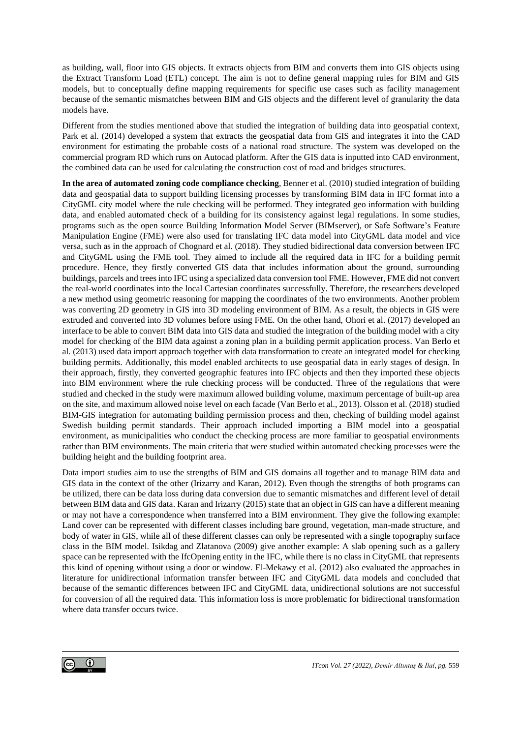as building, wall, floor into GIS objects. It extracts objects from BIM and converts them into GIS objects using the Extract Transform Load (ETL) concept. The aim is not to define general mapping rules for BIM and GIS models, but to conceptually define mapping requirements for specific use cases such as facility management because of the semantic mismatches between BIM and GIS objects and the different level of granularity the data models have.

Different from the studies mentioned above that studied the integration of building data into geospatial context, Park et al. (2014) developed a system that extracts the geospatial data from GIS and integrates it into the CAD environment for estimating the probable costs of a national road structure. The system was developed on the commercial program RD which runs on Autocad platform. After the GIS data is inputted into CAD environment, the combined data can be used for calculating the construction cost of road and bridges structures.

**In the area of automated zoning code compliance checking**, Benner et al. (2010) studied integration of building data and geospatial data to support building licensing processes by transforming BIM data in IFC format into a CityGML city model where the rule checking will be performed. They integrated geo information with building data, and enabled automated check of a building for its consistency against legal regulations. In some studies, programs such as the open source Building Information Model Server (BIMserver), or Safe Software's Feature Manipulation Engine (FME) were also used for translating IFC data model into CityGML data model and vice versa, such as in the approach of Chognard et al. (2018). They studied bidirectional data conversion between IFC and CityGML using the FME tool. They aimed to include all the required data in IFC for a building permit procedure. Hence, they firstly converted GIS data that includes information about the ground, surrounding buildings, parcels and trees into IFC using a specialized data conversion tool FME. However, FME did not convert the real-world coordinates into the local Cartesian coordinates successfully. Therefore, the researchers developed a new method using geometric reasoning for mapping the coordinates of the two environments. Another problem was converting 2D geometry in GIS into 3D modeling environment of BIM. As a result, the objects in GIS were extruded and converted into 3D volumes before using FME. On the other hand, Ohori et al. (2017) developed an interface to be able to convert BIM data into GIS data and studied the integration of the building model with a city model for checking of the BIM data against a zoning plan in a building permit application process. Van Berlo et al. (2013) used data import approach together with data transformation to create an integrated model for checking building permits. Additionally, this model enabled architects to use geospatial data in early stages of design. In their approach, firstly, they converted geographic features into IFC objects and then they imported these objects into BIM environment where the rule checking process will be conducted. Three of the regulations that were studied and checked in the study were maximum allowed building volume, maximum percentage of built-up area on the site, and maximum allowed noise level on each facade (Van Berlo et al., 2013). Olsson et al. (2018) studied BIM-GIS integration for automating building permission process and then, checking of building model against Swedish building permit standards. Their approach included importing a BIM model into a geospatial environment, as municipalities who conduct the checking process are more familiar to geospatial environments rather than BIM environments. The main criteria that were studied within automated checking processes were the building height and the building footprint area.

Data import studies aim to use the strengths of BIM and GIS domains all together and to manage BIM data and GIS data in the context of the other (Irizarry and Karan, 2012). Even though the strengths of both programs can be utilized, there can be data loss during data conversion due to semantic mismatches and different level of detail between BIM data and GIS data. Karan and Irizarry (2015) state that an object in GIS can have a different meaning or may not have a correspondence when transferred into a BIM environment. They give the following example: Land cover can be represented with different classes including bare ground, vegetation, man-made structure, and body of water in GIS, while all of these different classes can only be represented with a single topography surface class in the BIM model. Isikdag and Zlatanova (2009) give another example: A slab opening such as a gallery space can be represented with the IfcOpening entity in the IFC, while there is no class in CityGML that represents this kind of opening without using a door or window. El-Mekawy et al. (2012) also evaluated the approaches in literature for unidirectional information transfer between IFC and CityGML data models and concluded that because of the semantic differences between IFC and CityGML data, unidirectional solutions are not successful for conversion of all the required data. This information loss is more problematic for bidirectional transformation where data transfer occurs twice.

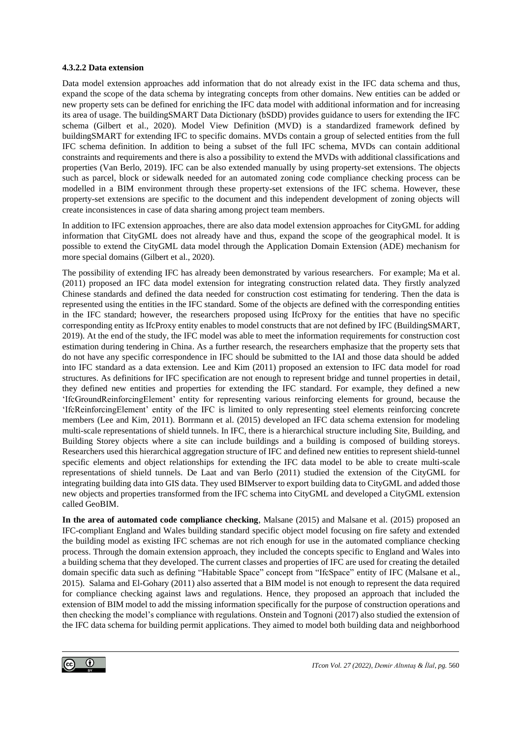#### **4.3.2.2 Data extension**

Data model extension approaches add information that do not already exist in the IFC data schema and thus, expand the scope of the data schema by integrating concepts from other domains. New entities can be added or new property sets can be defined for enriching the IFC data model with additional information and for increasing its area of usage. The buildingSMART Data Dictionary (bSDD) provides guidance to users for extending the IFC schema (Gilbert et al., 2020). Model View Definition (MVD) is a standardized framework defined by buildingSMART for extending IFC to specific domains. MVDs contain a group of selected entities from the full IFC schema definition. In addition to being a subset of the full IFC schema, MVDs can contain additional constraints and requirements and there is also a possibility to extend the MVDs with additional classifications and properties (Van Berlo, 2019). IFC can be also extended manually by using property-set extensions. The objects such as parcel, block or sidewalk needed for an automated zoning code compliance checking process can be modelled in a BIM environment through these property-set extensions of the IFC schema. However, these property-set extensions are specific to the document and this independent development of zoning objects will create inconsistences in case of data sharing among project team members.

In addition to IFC extension approaches, there are also data model extension approaches for CityGML for adding information that CityGML does not already have and thus, expand the scope of the geographical model. It is possible to extend the CityGML data model through the Application Domain Extension (ADE) mechanism for more special domains (Gilbert et al., 2020).

The possibility of extending IFC has already been demonstrated by various researchers. For example; Ma et al. (2011) proposed an IFC data model extension for integrating construction related data. They firstly analyzed Chinese standards and defined the data needed for construction cost estimating for tendering. Then the data is represented using the entities in the IFC standard. Some of the objects are defined with the corresponding entities in the IFC standard; however, the researchers proposed using IfcProxy for the entities that have no specific corresponding entity as IfcProxy entity enables to model constructs that are not defined by IFC (BuildingSMART, 2019). At the end of the study, the IFC model was able to meet the information requirements for construction cost estimation during tendering in China. As a further research, the researchers emphasize that the property sets that do not have any specific correspondence in IFC should be submitted to the IAI and those data should be added into IFC standard as a data extension. Lee and Kim (2011) proposed an extension to IFC data model for road structures. As definitions for IFC specification are not enough to represent bridge and tunnel properties in detail, they defined new entities and properties for extending the IFC standard. For example, they defined a new 'IfcGroundReinforcingElement' entity for representing various reinforcing elements for ground, because the 'IfcReinforcingElement' entity of the IFC is limited to only representing steel elements reinforcing concrete members (Lee and Kim, 2011). Borrmann et al. (2015) developed an IFC data schema extension for modeling multi-scale representations of shield tunnels. In IFC, there is a hierarchical structure including Site, Building, and Building Storey objects where a site can include buildings and a building is composed of building storeys. Researchers used this hierarchical aggregation structure of IFC and defined new entities to represent shield-tunnel specific elements and object relationships for extending the IFC data model to be able to create multi-scale representations of shield tunnels. De Laat and van Berlo (2011) studied the extension of the CityGML for integrating building data into GIS data. They used BIMserver to export building data to CityGML and added those new objects and properties transformed from the IFC schema into CityGML and developed a CityGML extension called GeoBIM.

**In the area of automated code compliance checking**, Malsane (2015) and Malsane et al. (2015) proposed an IFC-compliant England and Wales building standard specific object model focusing on fire safety and extended the building model as existing IFC schemas are not rich enough for use in the automated compliance checking process. Through the domain extension approach, they included the concepts specific to England and Wales into a building schema that they developed. The current classes and properties of IFC are used for creating the detailed domain specific data such as defining "Habitable Space" concept from "IfcSpace" entity of IFC (Malsane et al., 2015). Salama and El-Gohary (2011) also asserted that a BIM model is not enough to represent the data required for compliance checking against laws and regulations. Hence, they proposed an approach that included the extension of BIM model to add the missing information specifically for the purpose of construction operations and then checking the model's compliance with regulations. Onstein and Tognoni (2017) also studied the extension of the IFC data schema for building permit applications. They aimed to model both building data and neighborhood

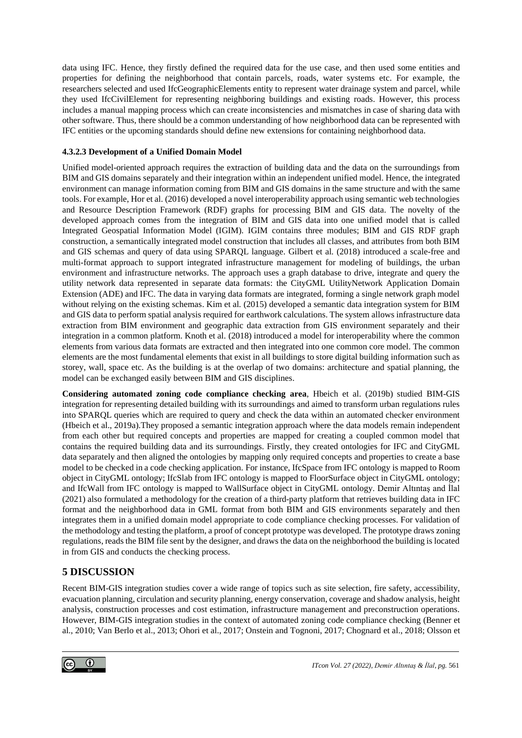data using IFC. Hence, they firstly defined the required data for the use case, and then used some entities and properties for defining the neighborhood that contain parcels, roads, water systems etc. For example, the researchers selected and used IfcGeographicElements entity to represent water drainage system and parcel, while they used IfcCivilElement for representing neighboring buildings and existing roads. However, this process includes a manual mapping process which can create inconsistencies and mismatches in case of sharing data with other software. Thus, there should be a common understanding of how neighborhood data can be represented with IFC entities or the upcoming standards should define new extensions for containing neighborhood data.

### **4.3.2.3 Development of a Unified Domain Model**

Unified model-oriented approach requires the extraction of building data and the data on the surroundings from BIM and GIS domains separately and their integration within an independent unified model. Hence, the integrated environment can manage information coming from BIM and GIS domains in the same structure and with the same tools. For example, Hor et al. (2016) developed a novel interoperability approach using semantic web technologies and Resource Description Framework (RDF) graphs for processing BIM and GIS data. The novelty of the developed approach comes from the integration of BIM and GIS data into one unified model that is called Integrated Geospatial Information Model (IGIM). IGIM contains three modules; BIM and GIS RDF graph construction, a semantically integrated model construction that includes all classes, and attributes from both BIM and GIS schemas and query of data using SPARQL language. Gilbert et al*.* (2018) introduced a scale-free and multi-format approach to support integrated infrastructure management for modeling of buildings, the urban environment and infrastructure networks. The approach uses a graph database to drive, integrate and query the utility network data represented in separate data formats: the CityGML UtilityNetwork Application Domain Extension (ADE) and IFC. The data in varying data formats are integrated, forming a single network graph model without relying on the existing schemas. Kim et al*.* (2015) developed a semantic data integration system for BIM and GIS data to perform spatial analysis required for earthwork calculations. The system allows infrastructure data extraction from BIM environment and geographic data extraction from GIS environment separately and their integration in a common platform. Knoth et al. (2018) introduced a model for interoperability where the common elements from various data formats are extracted and then integrated into one common core model. The common elements are the most fundamental elements that exist in all buildings to store digital building information such as storey, wall, space etc. As the building is at the overlap of two domains: architecture and spatial planning, the model can be exchanged easily between BIM and GIS disciplines.

**Considering automated zoning code compliance checking area**, Hbeich et al. (2019b) studied BIM-GIS integration for representing detailed building with its surroundings and aimed to transform urban regulations rules into SPARQL queries which are required to query and check the data within an automated checker environment (Hbeich et al., 2019a).They proposed a semantic integration approach where the data models remain independent from each other but required concepts and properties are mapped for creating a coupled common model that contains the required building data and its surroundings. Firstly, they created ontologies for IFC and CityGML data separately and then aligned the ontologies by mapping only required concepts and properties to create a base model to be checked in a code checking application. For instance, IfcSpace from IFC ontology is mapped to Room object in CityGML ontology; IfcSlab from IFC ontology is mapped to FloorSurface object in CityGML ontology; and IfcWall from IFC ontology is mapped to WallSurface object in CityGML ontology. Demir Altıntaş and İlal (2021) also formulated a methodology for the creation of a third-party platform that retrieves building data in IFC format and the neighborhood data in GML format from both BIM and GIS environments separately and then integrates them in a unified domain model appropriate to code compliance checking processes. For validation of the methodology and testing the platform, a proof of concept prototype was developed. The prototype draws zoning regulations, reads the BIM file sent by the designer, and draws the data on the neighborhood the building is located in from GIS and conducts the checking process.

## **5 DISCUSSION**

Recent BIM-GIS integration studies cover a wide range of topics such as site selection, fire safety, accessibility, evacuation planning, circulation and security planning, energy conservation, coverage and shadow analysis, height analysis, construction processes and cost estimation, infrastructure management and preconstruction operations. However, BIM-GIS integration studies in the context of automated zoning code compliance checking (Benner et al., 2010; Van Berlo et al., 2013; Ohori et al., 2017; Onstein and Tognoni, 2017; Chognard et al., 2018; Olsson et

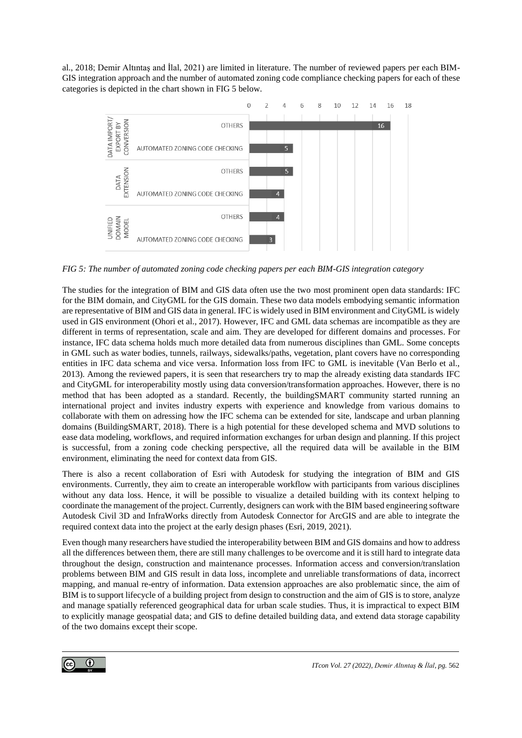al., 2018; Demir Altıntaş and İlal, 2021) are limited in literature. The number of reviewed papers per each BIM-GIS integration approach and the number of automated zoning code compliance checking papers for each of these categories is depicted in the chart shown in [FIG 5](#page-14-0) below.



<span id="page-14-0"></span>*FIG 5: The number of automated zoning code checking papers per each BIM-GIS integration category*

The studies for the integration of BIM and GIS data often use the two most prominent open data standards: IFC for the BIM domain, and CityGML for the GIS domain. These two data models embodying semantic information are representative of BIM and GIS data in general. IFC is widely used in BIM environment and CityGML is widely used in GIS environment (Ohori et al., 2017). However, IFC and GML data schemas are incompatible as they are different in terms of representation, scale and aim. They are developed for different domains and processes. For instance, IFC data schema holds much more detailed data from numerous disciplines than GML. Some concepts in GML such as water bodies, tunnels, railways, sidewalks/paths, vegetation, plant covers have no corresponding entities in IFC data schema and vice versa. Information loss from IFC to GML is inevitable (Van Berlo et al., 2013). Among the reviewed papers, it is seen that researchers try to map the already existing data standards IFC and CityGML for interoperability mostly using data conversion/transformation approaches. However, there is no method that has been adopted as a standard. Recently, the buildingSMART community started running an international project and invites industry experts with experience and knowledge from various domains to collaborate with them on adressing how the IFC schema can be extended for site, landscape and urban planning domains (BuildingSMART, 2018). There is a high potential for these developed schema and MVD solutions to ease data modeling, workflows, and required information exchanges for urban design and planning. If this project is successful, from a zoning code checking perspective, all the required data will be available in the BIM environment, eliminating the need for context data from GIS.

There is also a recent collaboration of Esri with Autodesk for studying the integration of BIM and GIS environments. Currently, they aim to create an interoperable workflow with participants from various disciplines without any data loss. Hence, it will be possible to visualize a detailed building with its context helping to coordinate the management of the project. Currently, designers can work with the BIM based engineering software Autodesk Civil 3D and InfraWorks directly from Autodesk Connector for ArcGIS and are able to integrate the required context data into the project at the early design phases (Esri, 2019, 2021).

Even though many researchers have studied the interoperability between BIM and GIS domains and how to address all the differences between them, there are still many challenges to be overcome and it is still hard to integrate data throughout the design, construction and maintenance processes. Information access and conversion/translation problems between BIM and GIS result in data loss, incomplete and unreliable transformations of data, incorrect mapping, and manual re-entry of information. Data extension approaches are also problematic since, the aim of BIM is to support lifecycle of a building project from design to construction and the aim of GIS is to store, analyze and manage spatially referenced geographical data for urban scale studies. Thus, it is impractical to expect BIM to explicitly manage geospatial data; and GIS to define detailed building data, and extend data storage capability of the two domains except their scope.

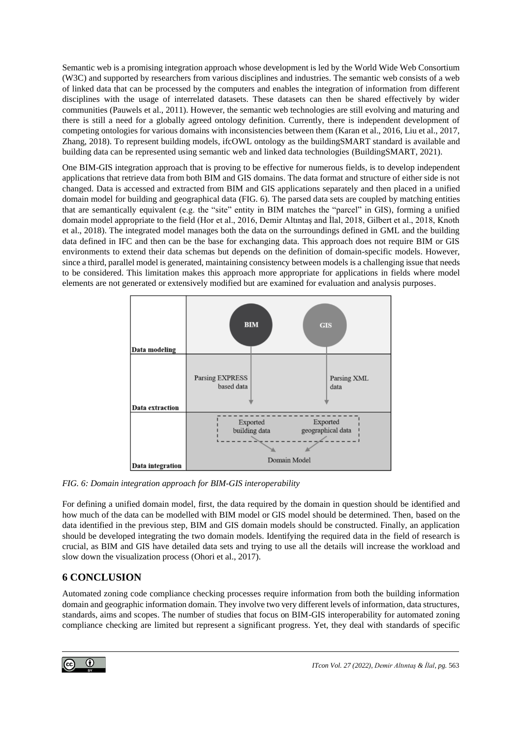Semantic web is a promising integration approach whose development is led by the World Wide Web Consortium (W3C) and supported by researchers from various disciplines and industries. The semantic web consists of a web of linked data that can be processed by the computers and enables the integration of information from different disciplines with the usage of interrelated datasets. These datasets can then be shared effectively by wider communities (Pauwels et al., 2011). However, the semantic web technologies are still evolving and maturing and there is still a need for a globally agreed ontology definition. Currently, there is independent development of competing ontologies for various domains with inconsistencies between them (Karan et al., 2016, Liu et al., 2017, Zhang, 2018). To represent building models, ifcOWL ontology as the buildingSMART standard is available and building data can be represented using semantic web and linked data technologies (BuildingSMART, 2021).

One BIM-GIS integration approach that is proving to be effective for numerous fields, is to develop independent applications that retrieve data from both BIM and GIS domains. The data format and structure of either side is not changed. Data is accessed and extracted from BIM and GIS applications separately and then placed in a unified domain model for building and geographical data [\(FIG. 6\)](#page-15-0). The parsed data sets are coupled by matching entities that are semantically equivalent (e.g. the "site" entity in BIM matches the "parcel" in GIS), forming a unified domain model appropriate to the field (Hor et al., 2016, Demir Altıntaş and İlal, 2018, Gilbert et al., 2018, Knoth et al., 2018). The integrated model manages both the data on the surroundings defined in GML and the building data defined in IFC and then can be the base for exchanging data. This approach does not require BIM or GIS environments to extend their data schemas but depends on the definition of domain-specific models. However, since a third, parallel model is generated, maintaining consistency between models is a challenging issue that needs to be considered. This limitation makes this approach more appropriate for applications in fields where model elements are not generated or extensively modified but are examined for evaluation and analysis purposes.



<span id="page-15-0"></span>*FIG. 6: Domain integration approach for BIM-GIS interoperability*

For defining a unified domain model, first, the data required by the domain in question should be identified and how much of the data can be modelled with BIM model or GIS model should be determined. Then, based on the data identified in the previous step, BIM and GIS domain models should be constructed. Finally, an application should be developed integrating the two domain models. Identifying the required data in the field of research is crucial, as BIM and GIS have detailed data sets and trying to use all the details will increase the workload and slow down the visualization process (Ohori et al., 2017).

# **6 CONCLUSION**

Automated zoning code compliance checking processes require information from both the building information domain and geographic information domain. They involve two very different levels of information, data structures, standards, aims and scopes. The number of studies that focus on BIM-GIS interoperability for automated zoning compliance checking are limited but represent a significant progress. Yet, they deal with standards of specific

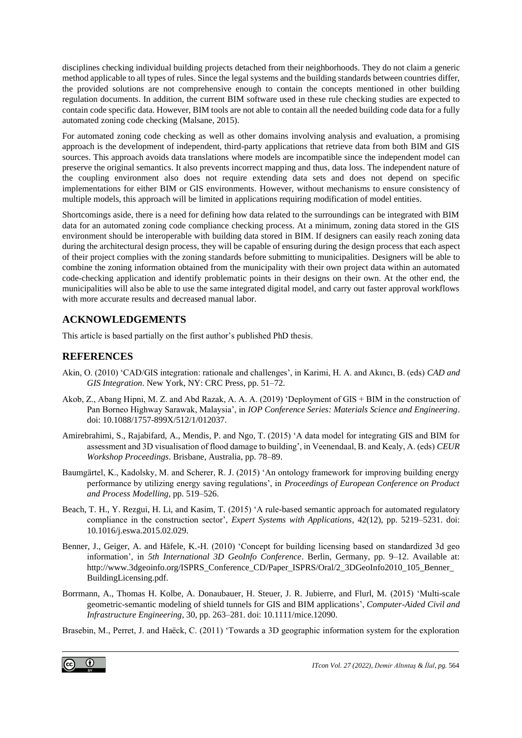disciplines checking individual building projects detached from their neighborhoods. They do not claim a generic method applicable to all types of rules. Since the legal systems and the building standards between countries differ, the provided solutions are not comprehensive enough to contain the concepts mentioned in other building regulation documents. In addition, the current BIM software used in these rule checking studies are expected to contain code specific data. However, BIM tools are not able to contain all the needed building code data for a fully automated zoning code checking (Malsane, 2015).

For automated zoning code checking as well as other domains involving analysis and evaluation, a promising approach is the development of independent, third-party applications that retrieve data from both BIM and GIS sources. This approach avoids data translations where models are incompatible since the independent model can preserve the original semantics. It also prevents incorrect mapping and thus, data loss. The independent nature of the coupling environment also does not require extending data sets and does not depend on specific implementations for either BIM or GIS environments. However, without mechanisms to ensure consistency of multiple models, this approach will be limited in applications requiring modification of model entities.

Shortcomings aside, there is a need for defining how data related to the surroundings can be integrated with BIM data for an automated zoning code compliance checking process. At a minimum, zoning data stored in the GIS environment should be interoperable with building data stored in BIM. If designers can easily reach zoning data during the architectural design process, they will be capable of ensuring during the design process that each aspect of their project complies with the zoning standards before submitting to municipalities. Designers will be able to combine the zoning information obtained from the municipality with their own project data within an automated code-checking application and identify problematic points in their designs on their own. At the other end, the municipalities will also be able to use the same integrated digital model, and carry out faster approval workflows with more accurate results and decreased manual labor.

## **ACKNOWLEDGEMENTS**

This article is based partially on the first author's published PhD thesis.

### **REFERENCES**

- Akin, O. (2010) 'CAD/GIS integration: rationale and challenges', in Karimi, H. A. and Akıncı, B. (eds) *CAD and GIS Integration*. New York, NY: CRC Press, pp. 51–72.
- Akob, Z., Abang Hipni, M. Z. and Abd Razak, A. A. A. (2019) 'Deployment of GIS + BIM in the construction of Pan Borneo Highway Sarawak, Malaysia', in *IOP Conference Series: Materials Science and Engineering*. doi: 10.1088/1757-899X/512/1/012037.
- Amirebrahimi, S., Rajabifard, A., Mendis, P. and Ngo, T. (2015) 'A data model for integrating GIS and BIM for assessment and 3D visualisation of flood damage to building', in Veenendaal, B. and Kealy, A. (eds) *CEUR Workshop Proceedings*. Brisbane, Australia, pp. 78–89.
- Baumgärtel, K., Kadolsky, M. and Scherer, R. J. (2015) 'An ontology framework for improving building energy performance by utilizing energy saving regulations', in *Proceedings of European Conference on Product and Process Modelling*, pp. 519–526.
- Beach, T. H., Y. Rezgui, H. Li, and Kasim, T. (2015) 'A rule-based semantic approach for automated regulatory compliance in the construction sector', *Expert Systems with Applications*, 42(12), pp. 5219–5231. doi: 10.1016/j.eswa.2015.02.029.
- Benner, J., Geiger, A. and Häfele, K.-H. (2010) 'Concept for building licensing based on standardized 3d geo information', in *5th International 3D GeoInfo Conference*. Berlin, Germany, pp. 9–12. Available at: http://www.3dgeoinfo.org/ISPRS\_Conference\_CD/Paper\_ISPRS/Oral/2\_3DGeoInfo2010\_105\_Benner\_ BuildingLicensing.pdf.
- Borrmann, A., Thomas H. Kolbe, A. Donaubauer, H. Steuer, J. R. Jubierre, and Flurl, M. (2015) 'Multi-scale geometric-semantic modeling of shield tunnels for GIS and BIM applications', *Computer-Aided Civil and Infrastructure Engineering*, 30, pp. 263–281. doi: 10.1111/mice.12090.

Brasebin, M., Perret, J. and Haëck, C. (2011) 'Towards a 3D geographic information system for the exploration

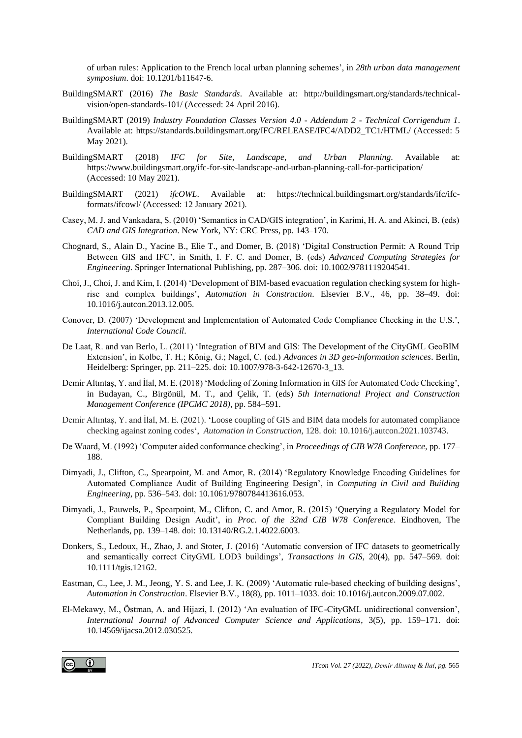of urban rules: Application to the French local urban planning schemes', in *28th urban data management symposium*. doi: 10.1201/b11647-6.

- BuildingSMART (2016) *The Basic Standards*. Available at: http://buildingsmart.org/standards/technicalvision/open-standards-101/ (Accessed: 24 April 2016).
- BuildingSMART (2019) *Industry Foundation Classes Version 4.0 - Addendum 2 - Technical Corrigendum 1*. Available at: https://standards.buildingsmart.org/IFC/RELEASE/IFC4/ADD2\_TC1/HTML/ (Accessed: 5 May 2021).
- BuildingSMART (2018) *IFC for Site, Landscape, and Urban Planning*. Available at: https://www.buildingsmart.org/ifc-for-site-landscape-and-urban-planning-call-for-participation/ (Accessed: 10 May 2021).
- BuildingSMART (2021) *ifcOWL*. Available at: https://technical.buildingsmart.org/standards/ifc/ifcformats/ifcowl/ (Accessed: 12 January 2021).
- Casey, M. J. and Vankadara, S. (2010) 'Semantics in CAD/GIS integration', in Karimi, H. A. and Akinci, B. (eds) *CAD and GIS Integration*. New York, NY: CRC Press, pp. 143–170.
- Chognard, S., Alain D., Yacine B., Elie T., and Domer, B. (2018) 'Digital Construction Permit: A Round Trip Between GIS and IFC', in Smith, I. F. C. and Domer, B. (eds) *Advanced Computing Strategies for Engineering*. Springer International Publishing, pp. 287–306. doi: 10.1002/9781119204541.
- Choi, J., Choi, J. and Kim, I. (2014) 'Development of BIM-based evacuation regulation checking system for highrise and complex buildings', *Automation in Construction*. Elsevier B.V., 46, pp. 38–49. doi: 10.1016/j.autcon.2013.12.005.
- Conover, D. (2007) 'Development and Implementation of Automated Code Compliance Checking in the U.S.', *International Code Council*.
- De Laat, R. and van Berlo, L. (2011) 'Integration of BIM and GIS: The Development of the CityGML GeoBIM Extension', in Kolbe, T. H.; König, G.; Nagel, C. (ed.) *Advances in 3D geo-information sciences*. Berlin, Heidelberg: Springer, pp. 211–225. doi: 10.1007/978-3-642-12670-3\_13.
- Demir Altıntaş, Y. and İlal, M. E. (2018) 'Modeling of Zoning Information in GIS for Automated Code Checking', in Budayan, C., Birgönül, M. T., and Çelik, T. (eds) *5th International Project and Construction Management Conference (IPCMC 2018)*, pp. 584–591.
- Demir Altıntaş, Y. and İlal, M. E. (2021). 'Loose coupling of GIS and BIM data models for automated compliance checking against zoning codes', *Automation in Construction*, 128. doi: 10.1016/j.autcon.2021.103743.
- De Waard, M. (1992) 'Computer aided conformance checking', in *Proceedings of CIB W78 Conference*, pp. 177– 188.
- Dimyadi, J., Clifton, C., Spearpoint, M. and Amor, R. (2014) 'Regulatory Knowledge Encoding Guidelines for Automated Compliance Audit of Building Engineering Design', in *Computing in Civil and Building Engineering*, pp. 536–543. doi: 10.1061/9780784413616.053.
- Dimyadi, J., Pauwels, P., Spearpoint, M., Clifton, C. and Amor, R. (2015) 'Querying a Regulatory Model for Compliant Building Design Audit', in *Proc. of the 32nd CIB W78 Conference*. Eindhoven, The Netherlands, pp. 139–148. doi: 10.13140/RG.2.1.4022.6003.
- Donkers, S., Ledoux, H., Zhao, J. and Stoter, J. (2016) 'Automatic conversion of IFC datasets to geometrically and semantically correct CityGML LOD3 buildings', *Transactions in GIS*, 20(4), pp. 547–569. doi: 10.1111/tgis.12162.
- Eastman, C., Lee, J. M., Jeong, Y. S. and Lee, J. K. (2009) 'Automatic rule-based checking of building designs', *Automation in Construction*. Elsevier B.V., 18(8), pp. 1011–1033. doi: 10.1016/j.autcon.2009.07.002.
- El-Mekawy, M., Östman, A. and Hijazi, I. (2012) 'An evaluation of IFC-CityGML unidirectional conversion', *International Journal of Advanced Computer Science and Applications*, 3(5), pp. 159–171. doi: 10.14569/ijacsa.2012.030525.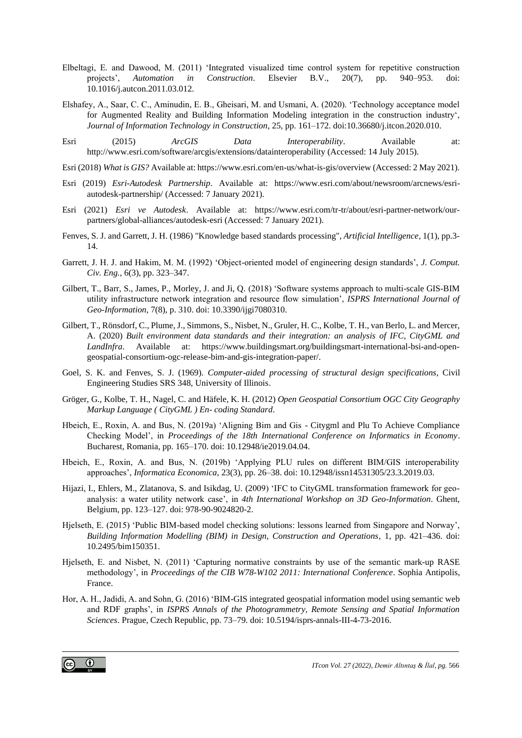- Elbeltagi, E. and Dawood, M. (2011) 'Integrated visualized time control system for repetitive construction projects', *Automation in Construction*. Elsevier B.V., 20(7), pp. 940–953. doi: 10.1016/j.autcon.2011.03.012.
- Elshafey, A., Saar, C. C., Aminudin, E. B., Gheisari, M. and Usmani, A. (2020). 'Technology acceptance model for Augmented Reality and Building Information Modeling integration in the construction industry', *Journal of Information Technology in Construction*, 25, pp. 161–172. doi:10.36680/j.itcon.2020.010.
- Esri (2015) *ArcGIS Data Interoperability*. Available at: http://www.esri.com/software/arcgis/extensions/datainteroperability (Accessed: 14 July 2015).
- Esri (2018) *What is GIS?* Available at: https://www.esri.com/en-us/what-is-gis/overview (Accessed: 2 May 2021).
- Esri (2019) *Esri-Autodesk Partnership*. Available at: https://www.esri.com/about/newsroom/arcnews/esriautodesk-partnership/ (Accessed: 7 January 2021).
- Esri (2021) *Esri ve Autodesk*. Available at: https://www.esri.com/tr-tr/about/esri-partner-network/ourpartners/global-alliances/autodesk-esri (Accessed: 7 January 2021).
- Fenves, S. J. and Garrett, J. H. (1986) "Knowledge based standards processing", *Artificial Intelligence*, 1(1), pp.3- 14.
- Garrett, J. H. J. and Hakim, M. M. (1992) 'Object-oriented model of engineering design standards', *J. Comput. Civ. Eng.*, 6(3), pp. 323–347.
- Gilbert, T., Barr, S., James, P., Morley, J. and Ji, Q. (2018) 'Software systems approach to multi-scale GIS-BIM utility infrastructure network integration and resource flow simulation', *ISPRS International Journal of Geo-Information*, 7(8), p. 310. doi: 10.3390/ijgi7080310.
- Gilbert, T., Rönsdorf, C., Plume, J., Simmons, S., Nisbet, N., Gruler, H. C., Kolbe, T. H., van Berlo, L. and Mercer, A. (2020) *Built environment data standards and their integration: an analysis of IFC, CityGML and LandInfra*. Available at: https://www.buildingsmart.org/buildingsmart-international-bsi-and-opengeospatial-consortium-ogc-release-bim-and-gis-integration-paper/.
- Goel, S. K. and Fenves, S. J. (1969). *Computer-aided processing of structural design specifications*, Civil Engineering Studies SRS 348, University of Illinois.
- Gröger, G., Kolbe, T. H., Nagel, C. and Häfele, K. H. (2012) *Open Geospatial Consortium OGC City Geography Markup Language ( CityGML ) En- coding Standard*.
- Hbeich, E., Roxin, A. and Bus, N. (2019a) 'Aligning Bim and Gis Citygml and Plu To Achieve Compliance Checking Model', in *Proceedings of the 18th International Conference on Informatics in Economy*. Bucharest, Romania, pp. 165–170. doi: 10.12948/ie2019.04.04.
- Hbeich, E., Roxin, A. and Bus, N. (2019b) 'Applying PLU rules on different BIM/GIS interoperability approaches', *Informatica Economica*, 23(3), pp. 26–38. doi: 10.12948/issn14531305/23.3.2019.03.
- Hijazi, I., Ehlers, M., Zlatanova, S. and Isikdag, U. (2009) 'IFC to CityGML transformation framework for geoanalysis: a water utility network case', in *4th International Workshop on 3D Geo-Information*. Ghent, Belgium, pp. 123–127. doi: 978-90-9024820-2.
- Hjelseth, E. (2015) 'Public BIM-based model checking solutions: lessons learned from Singapore and Norway', *Building Information Modelling (BIM) in Design, Construction and Operations*, 1, pp. 421–436. doi: 10.2495/bim150351.
- Hjelseth, E. and Nisbet, N. (2011) 'Capturing normative constraints by use of the semantic mark-up RASE methodology', in *Proceedings of the CIB W78-W102 2011: International Conference*. Sophia Antipolis, France.
- Hor, A. H., Jadidi, A. and Sohn, G. (2016) 'BIM-GIS integrated geospatial information model using semantic web and RDF graphs', in *ISPRS Annals of the Photogrammetry, Remote Sensing and Spatial Information Sciences*. Prague, Czech Republic, pp. 73–79. doi: 10.5194/isprs-annals-III-4-73-2016.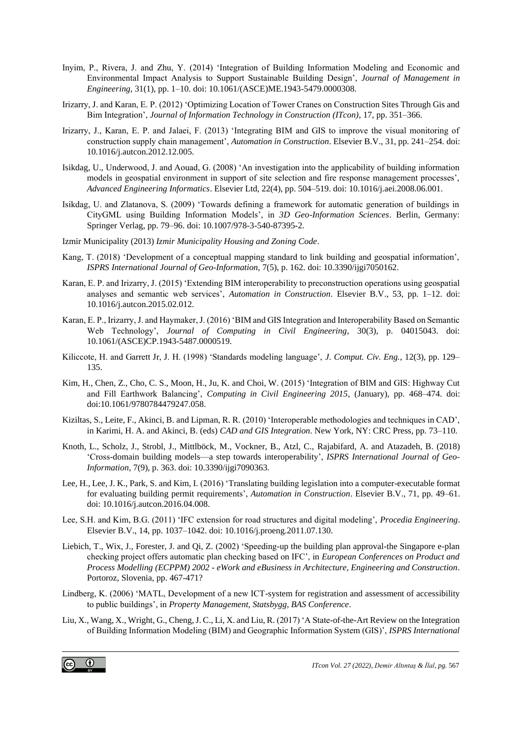- Inyim, P., Rivera, J. and Zhu, Y. (2014) 'Integration of Building Information Modeling and Economic and Environmental Impact Analysis to Support Sustainable Building Design', *Journal of Management in Engineering*, 31(1), pp. 1–10. doi: 10.1061/(ASCE)ME.1943-5479.0000308.
- Irizarry, J. and Karan, E. P. (2012) 'Optimizing Location of Tower Cranes on Construction Sites Through Gis and Bim Integration', *Journal of Information Technology in Construction (ITcon)*, 17, pp. 351–366.
- Irizarry, J., Karan, E. P. and Jalaei, F. (2013) 'Integrating BIM and GIS to improve the visual monitoring of construction supply chain management', *Automation in Construction*. Elsevier B.V., 31, pp. 241–254. doi: 10.1016/j.autcon.2012.12.005.
- Isikdag, U., Underwood, J. and Aouad, G. (2008) 'An investigation into the applicability of building information models in geospatial environment in support of site selection and fire response management processes', *Advanced Engineering Informatics*. Elsevier Ltd, 22(4), pp. 504–519. doi: 10.1016/j.aei.2008.06.001.
- Isikdag, U. and Zlatanova, S. (2009) 'Towards defining a framework for automatic generation of buildings in CityGML using Building Information Models', in *3D Geo-Information Sciences*. Berlin, Germany: Springer Verlag, pp. 79–96. doi: 10.1007/978-3-540-87395-2.
- Izmir Municipality (2013) *Izmir Municipality Housing and Zoning Code*.
- Kang, T. (2018) 'Development of a conceptual mapping standard to link building and geospatial information', *ISPRS International Journal of Geo-Information*, 7(5), p. 162. doi: 10.3390/ijgi7050162.
- Karan, E. P. and Irizarry, J. (2015) 'Extending BIM interoperability to preconstruction operations using geospatial analyses and semantic web services', *Automation in Construction*. Elsevier B.V., 53, pp. 1–12. doi: 10.1016/j.autcon.2015.02.012.
- Karan, E. P., Irizarry, J. and Haymaker, J. (2016) 'BIM and GIS Integration and Interoperability Based on Semantic Web Technology', *Journal of Computing in Civil Engineering*, 30(3), p. 04015043. doi: 10.1061/(ASCE)CP.1943-5487.0000519.
- Kiliccote, H. and Garrett Jr, J. H. (1998) 'Standards modeling language', *J. Comput. Civ. Eng.*, 12(3), pp. 129– 135.
- Kim, H., Chen, Z., Cho, C. S., Moon, H., Ju, K. and Choi, W. (2015) 'Integration of BIM and GIS: Highway Cut and Fill Earthwork Balancing', *Computing in Civil Engineering 2015*, (January), pp. 468–474. doi: doi:10.1061/9780784479247.058.
- Kiziltas, S., Leite, F., Akinci, B. and Lipman, R. R. (2010) 'Interoperable methodologies and techniques in CAD', in Karimi, H. A. and Akinci, B. (eds) *CAD and GIS Integration*. New York, NY: CRC Press, pp. 73–110.
- Knoth, L., Scholz, J., Strobl, J., Mittlböck, M., Vockner, B., Atzl, C., Rajabifard, A. and Atazadeh, B. (2018) 'Cross-domain building models—a step towards interoperability', *ISPRS International Journal of Geo-Information*, 7(9), p. 363. doi: 10.3390/ijgi7090363.
- Lee, H., Lee, J. K., Park, S. and Kim, I. (2016) 'Translating building legislation into a computer-executable format for evaluating building permit requirements', *Automation in Construction*. Elsevier B.V., 71, pp. 49–61. doi: 10.1016/j.autcon.2016.04.008.
- Lee, S.H. and Kim, B.G. (2011) 'IFC extension for road structures and digital modeling', *Procedia Engineering*. Elsevier B.V., 14, pp. 1037–1042. doi: 10.1016/j.proeng.2011.07.130.
- Liebich, T., Wix, J., Forester, J. and Qi, Z. (2002) 'Speeding-up the building plan approval-the Singapore e-plan checking project offers automatic plan checking based on IFC', in *European Conferences on Product and Process Modelling (ECPPM) 2002 - eWork and eBusiness in Architecture, Engineering and Construction*. Portoroz, Slovenia, pp. 467-471?
- Lindberg, K. (2006) 'MATL, Development of a new ICT-system for registration and assessment of accessibility to public buildings', in *Property Management, Statsbygg, BAS Conference*.
- Liu, X., Wang, X., Wright, G., Cheng, J. C., Li, X. and Liu, R. (2017) 'A State-of-the-Art Review on the Integration of Building Information Modeling (BIM) and Geographic Information System (GIS)', *ISPRS International*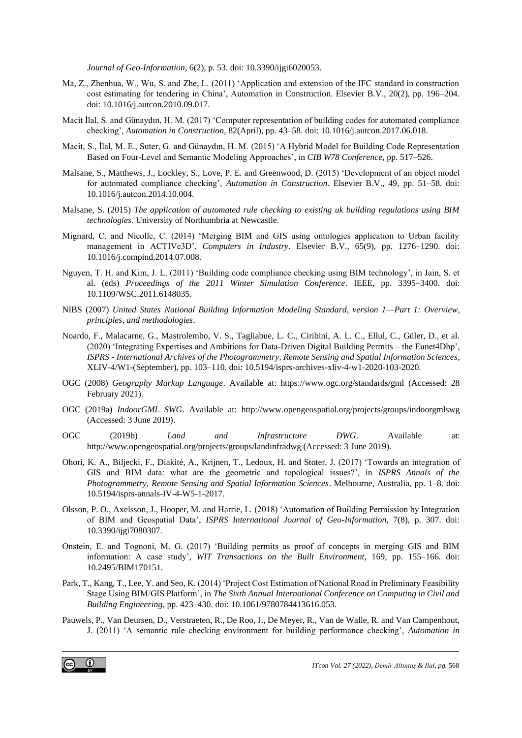*Journal of Geo-Information*, 6(2), p. 53. doi: 10.3390/ijgi6020053.

- Ma, Z., Zhenhua, W., Wu, S. and Zhe, L. (2011) 'Application and extension of the IFC standard in construction cost estimating for tendering in China', Automation in Construction. Elsevier B.V., 20(2), pp. 196–204. doi: 10.1016/j.autcon.2010.09.017.
- Macit İlal, S. and Günaydın, H. M. (2017) 'Computer representation of building codes for automated compliance checking', *Automation in Construction*, 82(April), pp. 43–58. doi: 10.1016/j.autcon.2017.06.018.
- Macit, S., İlal, M. E., Suter, G. and Günaydın, H. M. (2015) 'A Hybrid Model for Building Code Representation Based on Four-Level and Semantic Modeling Approaches', in *CIB W78 Conference*, pp. 517–526.
- Malsane, S., Matthews, J., Lockley, S., Love, P. E. and Greenwood, D. (2015) 'Development of an object model for automated compliance checking', *Automation in Construction*. Elsevier B.V., 49, pp. 51–58. doi: 10.1016/j.autcon.2014.10.004.
- Malsane, S. (2015) *The application of automated rule checking to existing uk building regulations using BIM technologies*. University of Northumbria at Newcastle.
- Mignard, C. and Nicolle, C. (2014) 'Merging BIM and GIS using ontologies application to Urban facility management in ACTIVe3D', *Computers in Industry*. Elsevier B.V., 65(9), pp. 1276–1290. doi: 10.1016/j.compind.2014.07.008.
- Nguyen, T. H. and Kim, J. L. (2011) 'Building code compliance checking using BIM technology', in Jain, S. et al. (eds) *Proceedings of the 2011 Winter Simulation Conference*. IEEE, pp. 3395–3400. doi: 10.1109/WSC.2011.6148035.
- NIBS (2007) *United States National Building Information Modeling Standard, version 1—Part 1: Overview, principles, and methodologies*.
- Noardo, F., Malacarne, G., Mastrolembo, V. S., Tagliabue, L. C., Ciribini, A. L. C., Ellul, C., Güler, D., et al. (2020) 'Integrating Expertises and Ambitions for Data-Driven Digital Building Permits – the Eunet4Dbp', *ISPRS - International Archives of the Photogrammetry, Remote Sensing and Spatial Information Sciences*, XLIV-4/W1-(September), pp. 103–110. doi: 10.5194/isprs-archives-xliv-4-w1-2020-103-2020.
- OGC (2008) *Geography Markup Language*. Available at: https://www.ogc.org/standards/gml (Accessed: 28 February 2021).
- OGC (2019a) *IndoorGML SWG*. Available at: http://www.opengeospatial.org/projects/groups/indoorgmlswg (Accessed: 3 June 2019).
- OGC (2019b) *Land and Infrastructure DWG*. Available at: http://www.opengeospatial.org/projects/groups/landinfradwg (Accessed: 3 June 2019).
- Ohori, K. A., Biljecki, F., Diakité, A., Krijnen, T., Ledoux, H. and Stoter, J. (2017) 'Towards an integration of GIS and BIM data: what are the geometric and topological issues?', in *ISPRS Annals of the Photogrammetry, Remote Sensing and Spatial Information Sciences*. Melbourne, Australia, pp. 1–8. doi: 10.5194/isprs-annals-IV-4-W5-1-2017.
- Olsson, P. O., Axelsson, J., Hooper, M. and Harrie, L. (2018) 'Automation of Building Permission by Integration of BIM and Geospatial Data', *ISPRS International Journal of Geo-Information*, 7(8), p. 307. doi: 10.3390/ijgi7080307.
- Onstein, E. and Tognoni, M. G. (2017) 'Building permits as proof of concepts in merging GIS and BIM information: A case study', *WIT Transactions on the Built Environment*, 169, pp. 155–166. doi: 10.2495/BIM170151.
- Park, T., Kang, T., Lee, Y. and Seo, K. (2014) 'Project Cost Estimation of National Road in Preliminary Feasibility Stage Using BIM/GIS Platform', in *The Sixth Annual International Conference on Computing in Civil and Building Engineering*, pp. 423–430. doi: 10.1061/9780784413616.053.
- Pauwels, P., Van Deursen, D., Verstraeten, R., De Roo, J., De Meyer, R., Van de Walle, R. and Van Campenhout, J. (2011) 'A semantic rule checking environment for building performance checking', *Automation in*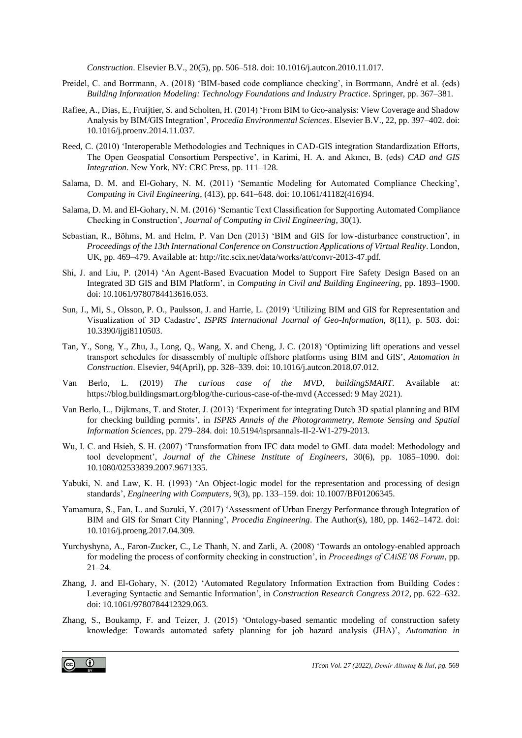*Construction*. Elsevier B.V., 20(5), pp. 506–518. doi: 10.1016/j.autcon.2010.11.017.

- Preidel, C. and Borrmann, A. (2018) 'BIM-based code compliance checking', in Borrmann, André et al. (eds) *Building Information Modeling: Technology Foundations and Industry Practice*. Springer, pp. 367–381.
- Rafiee, A., Dias, E., Fruijtier, S. and Scholten, H. (2014) 'From BIM to Geo-analysis: View Coverage and Shadow Analysis by BIM/GIS Integration', *Procedia Environmental Sciences*. Elsevier B.V., 22, pp. 397–402. doi: 10.1016/j.proenv.2014.11.037.
- Reed, C. (2010) 'Interoperable Methodologies and Techniques in CAD-GIS integration Standardization Efforts, The Open Geospatial Consortium Perspective', in Karimi, H. A. and Akıncı, B. (eds) *CAD and GIS Integration*. New York, NY: CRC Press, pp. 111–128.
- Salama, D. M. and El-Gohary, N. M. (2011) 'Semantic Modeling for Automated Compliance Checking', *Computing in Civil Engineering*, (413), pp. 641–648. doi: 10.1061/41182(416)94.
- Salama, D. M. and El-Gohary, N. M. (2016) 'Semantic Text Classification for Supporting Automated Compliance Checking in Construction', *Journal of Computing in Civil Engineering*, 30(1).
- Sebastian, R., Böhms, M. and Helm, P. Van Den (2013) 'BIM and GIS for low-disturbance construction', in *Proceedings of the 13th International Conference on Construction Applications of Virtual Reality*. London, UK, pp. 469–479. Available at: http://itc.scix.net/data/works/att/convr-2013-47.pdf.
- Shi, J. and Liu, P. (2014) 'An Agent-Based Evacuation Model to Support Fire Safety Design Based on an Integrated 3D GIS and BIM Platform', in *Computing in Civil and Building Engineering*, pp. 1893–1900. doi: 10.1061/9780784413616.053.
- Sun, J., Mi, S., Olsson, P. O., Paulsson, J. and Harrie, L. (2019) 'Utilizing BIM and GIS for Representation and Visualization of 3D Cadastre', *ISPRS International Journal of Geo-Information*, 8(11), p. 503. doi: 10.3390/ijgi8110503.
- Tan, Y., Song, Y., Zhu, J., Long, Q., Wang, X. and Cheng, J. C. (2018) 'Optimizing lift operations and vessel transport schedules for disassembly of multiple offshore platforms using BIM and GIS', *Automation in Construction*. Elsevier, 94(April), pp. 328–339. doi: 10.1016/j.autcon.2018.07.012.
- Van Berlo, L. (2019) *The curious case of the MVD*, *buildingSMART*. Available at: https://blog.buildingsmart.org/blog/the-curious-case-of-the-mvd (Accessed: 9 May 2021).
- Van Berlo, L., Dijkmans, T. and Stoter, J. (2013) 'Experiment for integrating Dutch 3D spatial planning and BIM for checking building permits', in *ISPRS Annals of the Photogrammetry, Remote Sensing and Spatial Information Sciences*, pp. 279–284. doi: 10.5194/isprsannals-II-2-W1-279-2013.
- Wu, I. C. and Hsieh, S. H. (2007) 'Transformation from IFC data model to GML data model: Methodology and tool development', *Journal of the Chinese Institute of Engineers*, 30(6), pp. 1085–1090. doi: 10.1080/02533839.2007.9671335.
- Yabuki, N. and Law, K. H. (1993) 'An Object-logic model for the representation and processing of design standards', *Engineering with Computers*, 9(3), pp. 133–159. doi: 10.1007/BF01206345.
- Yamamura, S., Fan, L. and Suzuki, Y. (2017) 'Assessment of Urban Energy Performance through Integration of BIM and GIS for Smart City Planning', *Procedia Engineering*. The Author(s), 180, pp. 1462–1472. doi: 10.1016/j.proeng.2017.04.309.
- Yurchyshyna, A., Faron-Zucker, C., Le Thanh, N. and Zarli, A. (2008) 'Towards an ontology-enabled approach for modeling the process of conformity checking in construction', in *Proceedings of CAiSE'08 Forum*, pp. 21–24.
- Zhang, J. and El-Gohary, N. (2012) 'Automated Regulatory Information Extraction from Building Codes : Leveraging Syntactic and Semantic Information', in *Construction Research Congress 2012*, pp. 622–632. doi: 10.1061/9780784412329.063.
- Zhang, S., Boukamp, F. and Teizer, J. (2015) 'Ontology-based semantic modeling of construction safety knowledge: Towards automated safety planning for job hazard analysis (JHA)', *Automation in*